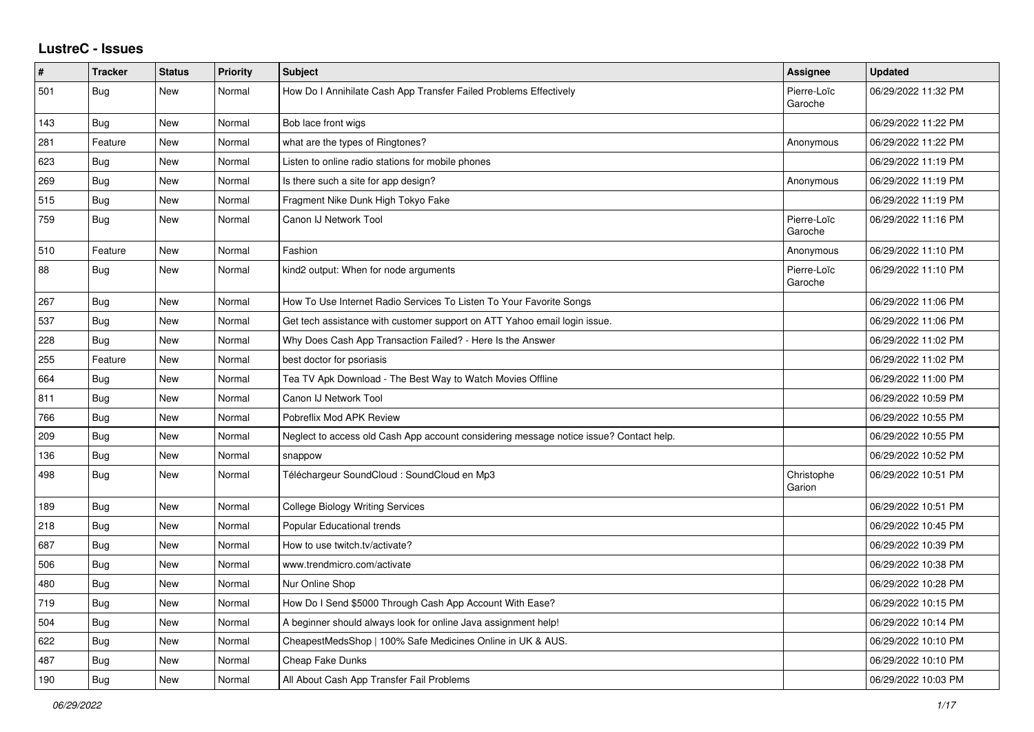## **LustreC - Issues**

| $\vert$ # | <b>Tracker</b> | <b>Status</b> | <b>Priority</b> | <b>Subject</b>                                                                         | <b>Assignee</b>        | <b>Updated</b>      |
|-----------|----------------|---------------|-----------------|----------------------------------------------------------------------------------------|------------------------|---------------------|
| 501       | <b>Bug</b>     | New           | Normal          | How Do I Annihilate Cash App Transfer Failed Problems Effectively                      | Pierre-Loïc<br>Garoche | 06/29/2022 11:32 PM |
| 143       | Bug            | New           | Normal          | Bob lace front wigs                                                                    |                        | 06/29/2022 11:22 PM |
| 281       | Feature        | <b>New</b>    | Normal          | what are the types of Ringtones?                                                       | Anonymous              | 06/29/2022 11:22 PM |
| 623       | Bug            | <b>New</b>    | Normal          | Listen to online radio stations for mobile phones                                      |                        | 06/29/2022 11:19 PM |
| 269       | <b>Bug</b>     | New           | Normal          | Is there such a site for app design?                                                   | Anonymous              | 06/29/2022 11:19 PM |
| 515       | <b>Bug</b>     | New           | Normal          | Fragment Nike Dunk High Tokyo Fake                                                     |                        | 06/29/2022 11:19 PM |
| 759       | Bug            | New           | Normal          | Canon IJ Network Tool                                                                  | Pierre-Loïc<br>Garoche | 06/29/2022 11:16 PM |
| 510       | Feature        | <b>New</b>    | Normal          | Fashion                                                                                | Anonymous              | 06/29/2022 11:10 PM |
| 88        | <b>Bug</b>     | <b>New</b>    | Normal          | kind2 output: When for node arguments                                                  | Pierre-Loïc<br>Garoche | 06/29/2022 11:10 PM |
| 267       | <b>Bug</b>     | <b>New</b>    | Normal          | How To Use Internet Radio Services To Listen To Your Favorite Songs                    |                        | 06/29/2022 11:06 PM |
| 537       | <b>Bug</b>     | <b>New</b>    | Normal          | Get tech assistance with customer support on ATT Yahoo email login issue.              |                        | 06/29/2022 11:06 PM |
| 228       | <b>Bug</b>     | <b>New</b>    | Normal          | Why Does Cash App Transaction Failed? - Here Is the Answer                             |                        | 06/29/2022 11:02 PM |
| 255       | Feature        | <b>New</b>    | Normal          | best doctor for psoriasis                                                              |                        | 06/29/2022 11:02 PM |
| 664       | <b>Bug</b>     | <b>New</b>    | Normal          | Tea TV Apk Download - The Best Way to Watch Movies Offline                             |                        | 06/29/2022 11:00 PM |
| 811       | Bug            | <b>New</b>    | Normal          | Canon IJ Network Tool                                                                  |                        | 06/29/2022 10:59 PM |
| 766       | <b>Bug</b>     | <b>New</b>    | Normal          | Pobreflix Mod APK Review                                                               |                        | 06/29/2022 10:55 PM |
| 209       | <b>Bug</b>     | New           | Normal          | Neglect to access old Cash App account considering message notice issue? Contact help. |                        | 06/29/2022 10:55 PM |
| 136       | <b>Bug</b>     | New           | Normal          | snappow                                                                                |                        | 06/29/2022 10:52 PM |
| 498       | Bug            | New           | Normal          | Téléchargeur SoundCloud : SoundCloud en Mp3                                            | Christophe<br>Garion   | 06/29/2022 10:51 PM |
| 189       | Bug            | <b>New</b>    | Normal          | College Biology Writing Services                                                       |                        | 06/29/2022 10:51 PM |
| 218       | <b>Bug</b>     | <b>New</b>    | Normal          | Popular Educational trends                                                             |                        | 06/29/2022 10:45 PM |
| 687       | <b>Bug</b>     | <b>New</b>    | Normal          | How to use twitch.tv/activate?                                                         |                        | 06/29/2022 10:39 PM |
| 506       | Bug            | New           | Normal          | www.trendmicro.com/activate                                                            |                        | 06/29/2022 10:38 PM |
| 480       | <b>Bug</b>     | New           | Normal          | Nur Online Shop                                                                        |                        | 06/29/2022 10:28 PM |
| 719       | Bug            | New           | Normal          | How Do I Send \$5000 Through Cash App Account With Ease?                               |                        | 06/29/2022 10:15 PM |
| 504       | Bug            | <b>New</b>    | Normal          | A beginner should always look for online Java assignment help!                         |                        | 06/29/2022 10:14 PM |
| 622       | Bug            | New           | Normal          | CheapestMedsShop   100% Safe Medicines Online in UK & AUS.                             |                        | 06/29/2022 10:10 PM |
| 487       | Bug            | <b>New</b>    | Normal          | <b>Cheap Fake Dunks</b>                                                                |                        | 06/29/2022 10:10 PM |
| 190       | <b>Bug</b>     | New           | Normal          | All About Cash App Transfer Fail Problems                                              |                        | 06/29/2022 10:03 PM |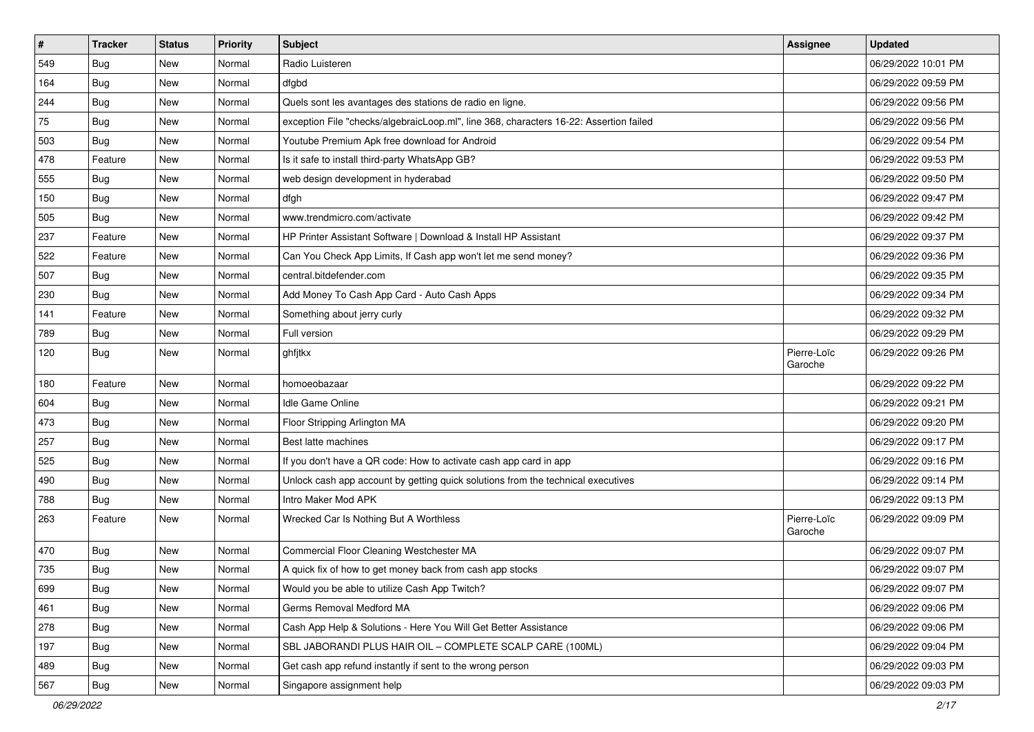| $\vert$ # | <b>Tracker</b> | <b>Status</b> | <b>Priority</b> | Subject                                                                                | Assignee               | <b>Updated</b>      |
|-----------|----------------|---------------|-----------------|----------------------------------------------------------------------------------------|------------------------|---------------------|
| 549       | <b>Bug</b>     | New           | Normal          | Radio Luisteren                                                                        |                        | 06/29/2022 10:01 PM |
| 164       | <b>Bug</b>     | New           | Normal          | dfgbd                                                                                  |                        | 06/29/2022 09:59 PM |
| 244       | Bug            | New           | Normal          | Quels sont les avantages des stations de radio en ligne.                               |                        | 06/29/2022 09:56 PM |
| 75        | <b>Bug</b>     | New           | Normal          | exception File "checks/algebraicLoop.ml", line 368, characters 16-22: Assertion failed |                        | 06/29/2022 09:56 PM |
| 503       | <b>Bug</b>     | New           | Normal          | Youtube Premium Apk free download for Android                                          |                        | 06/29/2022 09:54 PM |
| 478       | Feature        | New           | Normal          | Is it safe to install third-party WhatsApp GB?                                         |                        | 06/29/2022 09:53 PM |
| 555       | Bug            | New           | Normal          | web design development in hyderabad                                                    |                        | 06/29/2022 09:50 PM |
| 150       | <b>Bug</b>     | New           | Normal          | dfgh                                                                                   |                        | 06/29/2022 09:47 PM |
| 505       | <b>Bug</b>     | New           | Normal          | www.trendmicro.com/activate                                                            |                        | 06/29/2022 09:42 PM |
| 237       | Feature        | New           | Normal          | HP Printer Assistant Software   Download & Install HP Assistant                        |                        | 06/29/2022 09:37 PM |
| 522       | Feature        | New           | Normal          | Can You Check App Limits, If Cash app won't let me send money?                         |                        | 06/29/2022 09:36 PM |
| 507       | Bug            | New           | Normal          | central.bitdefender.com                                                                |                        | 06/29/2022 09:35 PM |
| 230       | Bug            | New           | Normal          | Add Money To Cash App Card - Auto Cash Apps                                            |                        | 06/29/2022 09:34 PM |
| 141       | Feature        | New           | Normal          | Something about jerry curly                                                            |                        | 06/29/2022 09:32 PM |
| 789       | Bug            | New           | Normal          | Full version                                                                           |                        | 06/29/2022 09:29 PM |
| 120       | Bug            | New           | Normal          | ghfjtkx                                                                                | Pierre-Loïc<br>Garoche | 06/29/2022 09:26 PM |
| 180       | Feature        | New           | Normal          | homoeobazaar                                                                           |                        | 06/29/2022 09:22 PM |
| 604       | <b>Bug</b>     | New           | Normal          | <b>Idle Game Online</b>                                                                |                        | 06/29/2022 09:21 PM |
| 473       | Bug            | New           | Normal          | Floor Stripping Arlington MA                                                           |                        | 06/29/2022 09:20 PM |
| 257       | Bug            | <b>New</b>    | Normal          | Best latte machines                                                                    |                        | 06/29/2022 09:17 PM |
| 525       | Bug            | New           | Normal          | If you don't have a QR code: How to activate cash app card in app                      |                        | 06/29/2022 09:16 PM |
| 490       | <b>Bug</b>     | New           | Normal          | Unlock cash app account by getting quick solutions from the technical executives       |                        | 06/29/2022 09:14 PM |
| 788       | <b>Bug</b>     | New           | Normal          | Intro Maker Mod APK                                                                    |                        | 06/29/2022 09:13 PM |
| 263       | Feature        | New           | Normal          | Wrecked Car Is Nothing But A Worthless                                                 | Pierre-Loïc<br>Garoche | 06/29/2022 09:09 PM |
| 470       | <b>Bug</b>     | New           | Normal          | Commercial Floor Cleaning Westchester MA                                               |                        | 06/29/2022 09:07 PM |
| 735       | Bug            | New           | Normal          | A quick fix of how to get money back from cash app stocks                              |                        | 06/29/2022 09:07 PM |
| 699       | Bug            | New           | Normal          | Would you be able to utilize Cash App Twitch?                                          |                        | 06/29/2022 09:07 PM |
| 461       | <b>Bug</b>     | New           | Normal          | Germs Removal Medford MA                                                               |                        | 06/29/2022 09:06 PM |
| 278       | <b>Bug</b>     | New           | Normal          | Cash App Help & Solutions - Here You Will Get Better Assistance                        |                        | 06/29/2022 09:06 PM |
| 197       | <b>Bug</b>     | New           | Normal          | SBL JABORANDI PLUS HAIR OIL - COMPLETE SCALP CARE (100ML)                              |                        | 06/29/2022 09:04 PM |
| 489       | <b>Bug</b>     | New           | Normal          | Get cash app refund instantly if sent to the wrong person                              |                        | 06/29/2022 09:03 PM |
| 567       | <b>Bug</b>     | New           | Normal          | Singapore assignment help                                                              |                        | 06/29/2022 09:03 PM |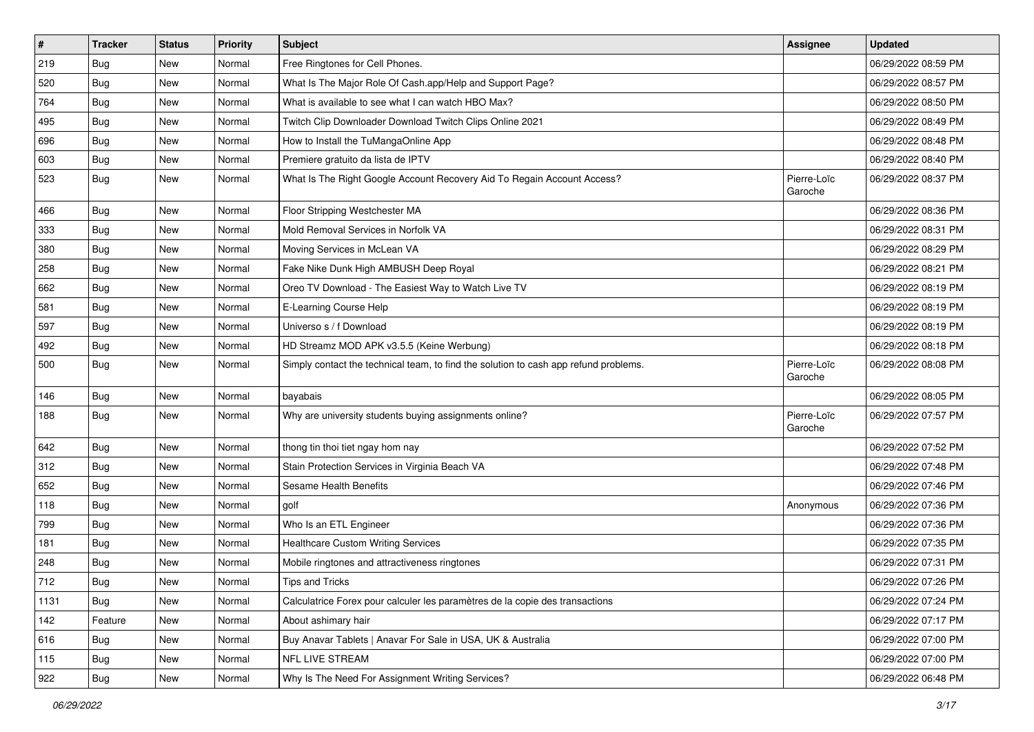| $\sharp$ | <b>Tracker</b> | <b>Status</b> | <b>Priority</b> | <b>Subject</b>                                                                       | <b>Assignee</b>        | <b>Updated</b>      |
|----------|----------------|---------------|-----------------|--------------------------------------------------------------------------------------|------------------------|---------------------|
| 219      | <b>Bug</b>     | New           | Normal          | Free Ringtones for Cell Phones.                                                      |                        | 06/29/2022 08:59 PM |
| 520      | <b>Bug</b>     | New           | Normal          | What Is The Major Role Of Cash.app/Help and Support Page?                            |                        | 06/29/2022 08:57 PM |
| 764      | Bug            | New           | Normal          | What is available to see what I can watch HBO Max?                                   |                        | 06/29/2022 08:50 PM |
| 495      | Bug            | New           | Normal          | Twitch Clip Downloader Download Twitch Clips Online 2021                             |                        | 06/29/2022 08:49 PM |
| 696      | Bug            | New           | Normal          | How to Install the TuMangaOnline App                                                 |                        | 06/29/2022 08:48 PM |
| 603      | <b>Bug</b>     | New           | Normal          | Premiere gratuito da lista de IPTV                                                   |                        | 06/29/2022 08:40 PM |
| 523      | <b>Bug</b>     | New           | Normal          | What Is The Right Google Account Recovery Aid To Regain Account Access?              | Pierre-Loïc<br>Garoche | 06/29/2022 08:37 PM |
| 466      | Bug            | New           | Normal          | Floor Stripping Westchester MA                                                       |                        | 06/29/2022 08:36 PM |
| 333      | Bug            | New           | Normal          | Mold Removal Services in Norfolk VA                                                  |                        | 06/29/2022 08:31 PM |
| 380      | Bug            | New           | Normal          | Moving Services in McLean VA                                                         |                        | 06/29/2022 08:29 PM |
| 258      | Bug            | New           | Normal          | Fake Nike Dunk High AMBUSH Deep Royal                                                |                        | 06/29/2022 08:21 PM |
| 662      | <b>Bug</b>     | New           | Normal          | Oreo TV Download - The Easiest Way to Watch Live TV                                  |                        | 06/29/2022 08:19 PM |
| 581      | <b>Bug</b>     | New           | Normal          | E-Learning Course Help                                                               |                        | 06/29/2022 08:19 PM |
| 597      | <b>Bug</b>     | New           | Normal          | Universo s / f Download                                                              |                        | 06/29/2022 08:19 PM |
| 492      | Bug            | New           | Normal          | HD Streamz MOD APK v3.5.5 (Keine Werbung)                                            |                        | 06/29/2022 08:18 PM |
| 500      | <b>Bug</b>     | New           | Normal          | Simply contact the technical team, to find the solution to cash app refund problems. | Pierre-Loïc<br>Garoche | 06/29/2022 08:08 PM |
| 146      | Bug            | New           | Normal          | bayabais                                                                             |                        | 06/29/2022 08:05 PM |
| 188      | Bug            | New           | Normal          | Why are university students buying assignments online?                               | Pierre-Loïc<br>Garoche | 06/29/2022 07:57 PM |
| 642      | Bug            | New           | Normal          | thong tin thoi tiet ngay hom nay                                                     |                        | 06/29/2022 07:52 PM |
| 312      | Bug            | New           | Normal          | Stain Protection Services in Virginia Beach VA                                       |                        | 06/29/2022 07:48 PM |
| 652      | Bug            | New           | Normal          | Sesame Health Benefits                                                               |                        | 06/29/2022 07:46 PM |
| 118      | <b>Bug</b>     | New           | Normal          | golf                                                                                 | Anonymous              | 06/29/2022 07:36 PM |
| 799      | Bug            | New           | Normal          | Who Is an ETL Engineer                                                               |                        | 06/29/2022 07:36 PM |
| 181      | <b>Bug</b>     | New           | Normal          | <b>Healthcare Custom Writing Services</b>                                            |                        | 06/29/2022 07:35 PM |
| 248      | <b>Bug</b>     | New           | Normal          | Mobile ringtones and attractiveness ringtones                                        |                        | 06/29/2022 07:31 PM |
| 712      | Bug            | New           | Normal          | Tips and Tricks                                                                      |                        | 06/29/2022 07:26 PM |
| 1131     | <b>Bug</b>     | New           | Normal          | Calculatrice Forex pour calculer les paramètres de la copie des transactions         |                        | 06/29/2022 07:24 PM |
| 142      | Feature        | New           | Normal          | About ashimary hair                                                                  |                        | 06/29/2022 07:17 PM |
| 616      | <b>Bug</b>     | New           | Normal          | Buy Anavar Tablets   Anavar For Sale in USA, UK & Australia                          |                        | 06/29/2022 07:00 PM |
| 115      | <b>Bug</b>     | New           | Normal          | NFL LIVE STREAM                                                                      |                        | 06/29/2022 07:00 PM |
| 922      | <b>Bug</b>     | New           | Normal          | Why Is The Need For Assignment Writing Services?                                     |                        | 06/29/2022 06:48 PM |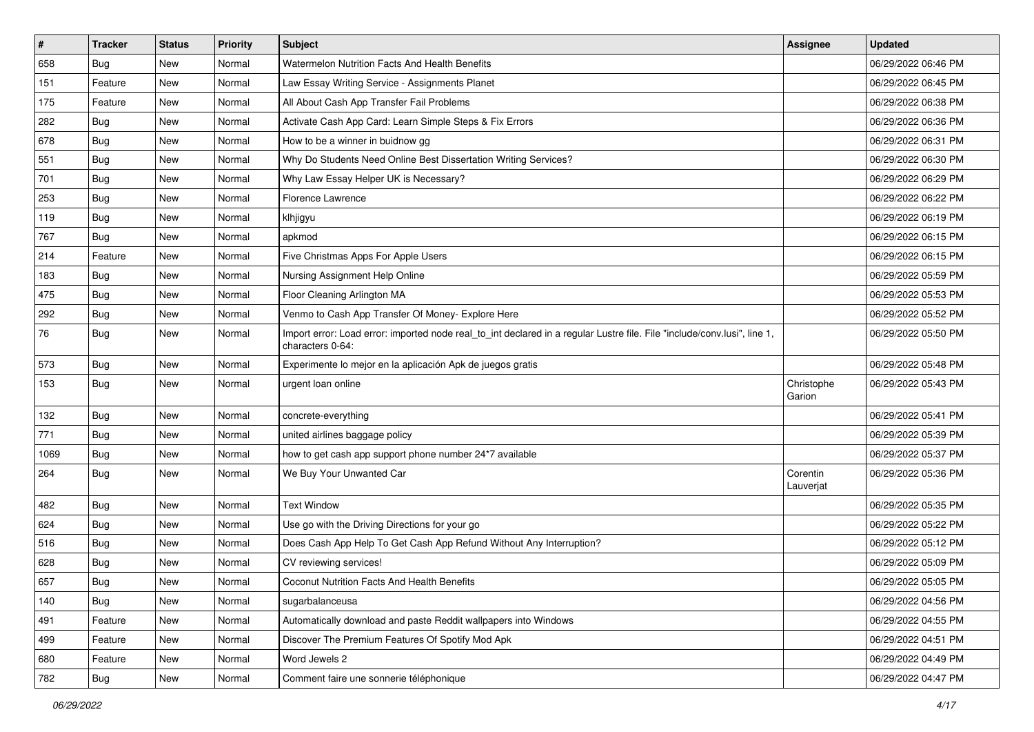| $\sharp$ | <b>Tracker</b> | <b>Status</b> | <b>Priority</b> | Subject                                                                                                                                      | <b>Assignee</b>       | <b>Updated</b>      |
|----------|----------------|---------------|-----------------|----------------------------------------------------------------------------------------------------------------------------------------------|-----------------------|---------------------|
| 658      | <b>Bug</b>     | New           | Normal          | Watermelon Nutrition Facts And Health Benefits                                                                                               |                       | 06/29/2022 06:46 PM |
| 151      | Feature        | New           | Normal          | Law Essay Writing Service - Assignments Planet                                                                                               |                       | 06/29/2022 06:45 PM |
| 175      | Feature        | New           | Normal          | All About Cash App Transfer Fail Problems                                                                                                    |                       | 06/29/2022 06:38 PM |
| 282      | Bug            | New           | Normal          | Activate Cash App Card: Learn Simple Steps & Fix Errors                                                                                      |                       | 06/29/2022 06:36 PM |
| 678      | Bug            | New           | Normal          | How to be a winner in buidnow gg                                                                                                             |                       | 06/29/2022 06:31 PM |
| 551      | Bug            | New           | Normal          | Why Do Students Need Online Best Dissertation Writing Services?                                                                              |                       | 06/29/2022 06:30 PM |
| 701      | Bug            | New           | Normal          | Why Law Essay Helper UK is Necessary?                                                                                                        |                       | 06/29/2022 06:29 PM |
| 253      | <b>Bug</b>     | New           | Normal          | <b>Florence Lawrence</b>                                                                                                                     |                       | 06/29/2022 06:22 PM |
| 119      | <b>Bug</b>     | New           | Normal          | klhjigyu                                                                                                                                     |                       | 06/29/2022 06:19 PM |
| 767      | <b>Bug</b>     | New           | Normal          | apkmod                                                                                                                                       |                       | 06/29/2022 06:15 PM |
| 214      | Feature        | New           | Normal          | Five Christmas Apps For Apple Users                                                                                                          |                       | 06/29/2022 06:15 PM |
| 183      | Bug            | New           | Normal          | Nursing Assignment Help Online                                                                                                               |                       | 06/29/2022 05:59 PM |
| 475      | Bug            | New           | Normal          | Floor Cleaning Arlington MA                                                                                                                  |                       | 06/29/2022 05:53 PM |
| 292      | <b>Bug</b>     | New           | Normal          | Venmo to Cash App Transfer Of Money- Explore Here                                                                                            |                       | 06/29/2022 05:52 PM |
| 76       | <b>Bug</b>     | New           | Normal          | Import error: Load error: imported node real_to_int declared in a regular Lustre file. File "include/conv.lusi", line 1,<br>characters 0-64: |                       | 06/29/2022 05:50 PM |
| 573      | Bug            | New           | Normal          | Experimente lo mejor en la aplicación Apk de juegos gratis                                                                                   |                       | 06/29/2022 05:48 PM |
| 153      | <b>Bug</b>     | New           | Normal          | urgent loan online                                                                                                                           | Christophe<br>Garion  | 06/29/2022 05:43 PM |
| 132      | Bug            | New           | Normal          | concrete-everything                                                                                                                          |                       | 06/29/2022 05:41 PM |
| 771      | <b>Bug</b>     | New           | Normal          | united airlines baggage policy                                                                                                               |                       | 06/29/2022 05:39 PM |
| 1069     | <b>Bug</b>     | New           | Normal          | how to get cash app support phone number 24*7 available                                                                                      |                       | 06/29/2022 05:37 PM |
| 264      | <b>Bug</b>     | New           | Normal          | We Buy Your Unwanted Car                                                                                                                     | Corentin<br>Lauverjat | 06/29/2022 05:36 PM |
| 482      | <b>Bug</b>     | New           | Normal          | <b>Text Window</b>                                                                                                                           |                       | 06/29/2022 05:35 PM |
| 624      | Bug            | New           | Normal          | Use go with the Driving Directions for your go                                                                                               |                       | 06/29/2022 05:22 PM |
| 516      | Bug            | New           | Normal          | Does Cash App Help To Get Cash App Refund Without Any Interruption?                                                                          |                       | 06/29/2022 05:12 PM |
| 628      | <b>Bug</b>     | New           | Normal          | CV reviewing services!                                                                                                                       |                       | 06/29/2022 05:09 PM |
| 657      | <b>Bug</b>     | New           | Normal          | Coconut Nutrition Facts And Health Benefits                                                                                                  |                       | 06/29/2022 05:05 PM |
| 140      | <b>Bug</b>     | New           | Normal          | sugarbalanceusa                                                                                                                              |                       | 06/29/2022 04:56 PM |
| 491      | Feature        | New           | Normal          | Automatically download and paste Reddit wallpapers into Windows                                                                              |                       | 06/29/2022 04:55 PM |
| 499      | Feature        | New           | Normal          | Discover The Premium Features Of Spotify Mod Apk                                                                                             |                       | 06/29/2022 04:51 PM |
| 680      | Feature        | New           | Normal          | Word Jewels 2                                                                                                                                |                       | 06/29/2022 04:49 PM |
| 782      | <b>Bug</b>     | New           | Normal          | Comment faire une sonnerie téléphonique                                                                                                      |                       | 06/29/2022 04:47 PM |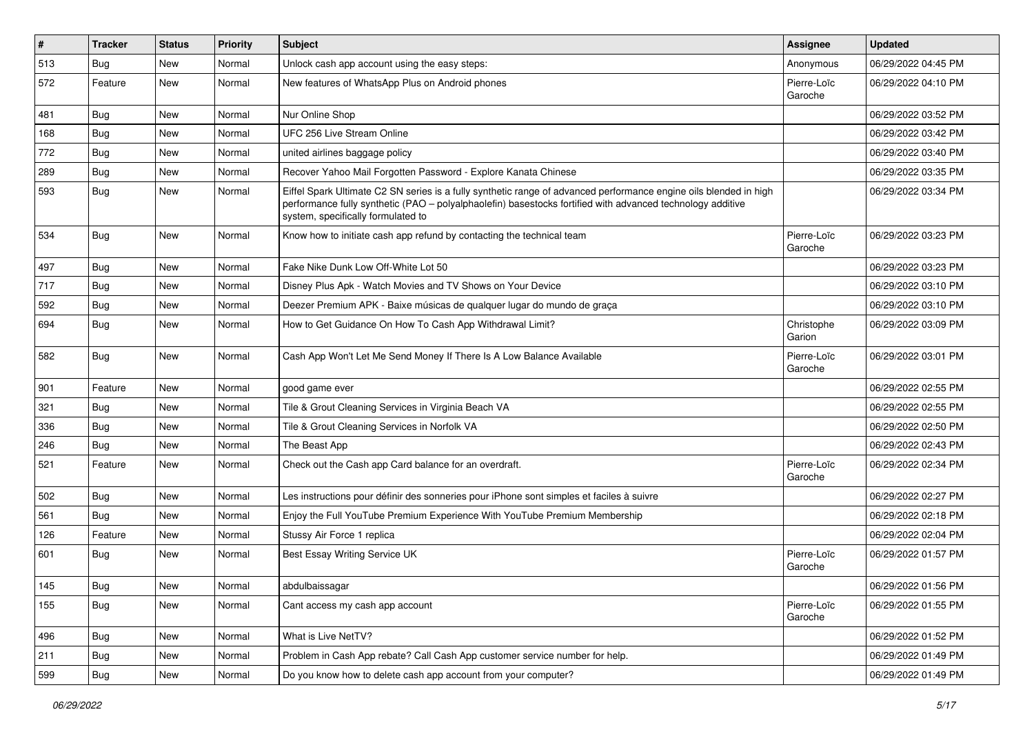| $\vert$ # | Tracker    | <b>Status</b> | <b>Priority</b> | Subject                                                                                                                                                                                                                                                               | Assignee               | <b>Updated</b>      |
|-----------|------------|---------------|-----------------|-----------------------------------------------------------------------------------------------------------------------------------------------------------------------------------------------------------------------------------------------------------------------|------------------------|---------------------|
| 513       | <b>Bug</b> | New           | Normal          | Unlock cash app account using the easy steps:                                                                                                                                                                                                                         | Anonymous              | 06/29/2022 04:45 PM |
| 572       | Feature    | New           | Normal          | New features of WhatsApp Plus on Android phones                                                                                                                                                                                                                       | Pierre-Loïc<br>Garoche | 06/29/2022 04:10 PM |
| 481       | Bug        | New           | Normal          | Nur Online Shop                                                                                                                                                                                                                                                       |                        | 06/29/2022 03:52 PM |
| 168       | Bug        | New           | Normal          | UFC 256 Live Stream Online                                                                                                                                                                                                                                            |                        | 06/29/2022 03:42 PM |
| 772       | <b>Bug</b> | New           | Normal          | united airlines baggage policy                                                                                                                                                                                                                                        |                        | 06/29/2022 03:40 PM |
| 289       | <b>Bug</b> | New           | Normal          | Recover Yahoo Mail Forgotten Password - Explore Kanata Chinese                                                                                                                                                                                                        |                        | 06/29/2022 03:35 PM |
| 593       | Bug        | New           | Normal          | Eiffel Spark Ultimate C2 SN series is a fully synthetic range of advanced performance engine oils blended in high<br>performance fully synthetic (PAO - polyalphaolefin) basestocks fortified with advanced technology additive<br>system, specifically formulated to |                        | 06/29/2022 03:34 PM |
| 534       | Bug        | New           | Normal          | Know how to initiate cash app refund by contacting the technical team                                                                                                                                                                                                 | Pierre-Loïc<br>Garoche | 06/29/2022 03:23 PM |
| 497       | Bug        | New           | Normal          | Fake Nike Dunk Low Off-White Lot 50                                                                                                                                                                                                                                   |                        | 06/29/2022 03:23 PM |
| 717       | <b>Bug</b> | New           | Normal          | Disney Plus Apk - Watch Movies and TV Shows on Your Device                                                                                                                                                                                                            |                        | 06/29/2022 03:10 PM |
| 592       | <b>Bug</b> | New           | Normal          | Deezer Premium APK - Baixe músicas de qualquer lugar do mundo de graça                                                                                                                                                                                                |                        | 06/29/2022 03:10 PM |
| 694       | Bug        | New           | Normal          | How to Get Guidance On How To Cash App Withdrawal Limit?                                                                                                                                                                                                              | Christophe<br>Garion   | 06/29/2022 03:09 PM |
| 582       | Bug        | <b>New</b>    | Normal          | Cash App Won't Let Me Send Money If There Is A Low Balance Available                                                                                                                                                                                                  | Pierre-Loïc<br>Garoche | 06/29/2022 03:01 PM |
| 901       | Feature    | New           | Normal          | good game ever                                                                                                                                                                                                                                                        |                        | 06/29/2022 02:55 PM |
| 321       | Bug        | New           | Normal          | Tile & Grout Cleaning Services in Virginia Beach VA                                                                                                                                                                                                                   |                        | 06/29/2022 02:55 PM |
| 336       | Bug        | New           | Normal          | Tile & Grout Cleaning Services in Norfolk VA                                                                                                                                                                                                                          |                        | 06/29/2022 02:50 PM |
| 246       | Bug        | New           | Normal          | The Beast App                                                                                                                                                                                                                                                         |                        | 06/29/2022 02:43 PM |
| 521       | Feature    | New           | Normal          | Check out the Cash app Card balance for an overdraft.                                                                                                                                                                                                                 | Pierre-Loïc<br>Garoche | 06/29/2022 02:34 PM |
| 502       | Bug        | New           | Normal          | Les instructions pour définir des sonneries pour iPhone sont simples et faciles à suivre                                                                                                                                                                              |                        | 06/29/2022 02:27 PM |
| 561       | <b>Bug</b> | New           | Normal          | Enjoy the Full YouTube Premium Experience With YouTube Premium Membership                                                                                                                                                                                             |                        | 06/29/2022 02:18 PM |
| 126       | Feature    | <b>New</b>    | Normal          | Stussy Air Force 1 replica                                                                                                                                                                                                                                            |                        | 06/29/2022 02:04 PM |
| 601       | Bug        | New           | Normal          | <b>Best Essay Writing Service UK</b>                                                                                                                                                                                                                                  | Pierre-Loïc<br>Garoche | 06/29/2022 01:57 PM |
| 145       | Bug        | New           | Normal          | abdulbaissagar                                                                                                                                                                                                                                                        |                        | 06/29/2022 01:56 PM |
| 155       | <b>Bug</b> | New           | Normal          | Cant access my cash app account                                                                                                                                                                                                                                       | Pierre-Loïc<br>Garoche | 06/29/2022 01:55 PM |
| 496       | Bug        | New           | Normal          | What is Live NetTV?                                                                                                                                                                                                                                                   |                        | 06/29/2022 01:52 PM |
| 211       | <b>Bug</b> | New           | Normal          | Problem in Cash App rebate? Call Cash App customer service number for help.                                                                                                                                                                                           |                        | 06/29/2022 01:49 PM |
| 599       | <b>Bug</b> | New           | Normal          | Do you know how to delete cash app account from your computer?                                                                                                                                                                                                        |                        | 06/29/2022 01:49 PM |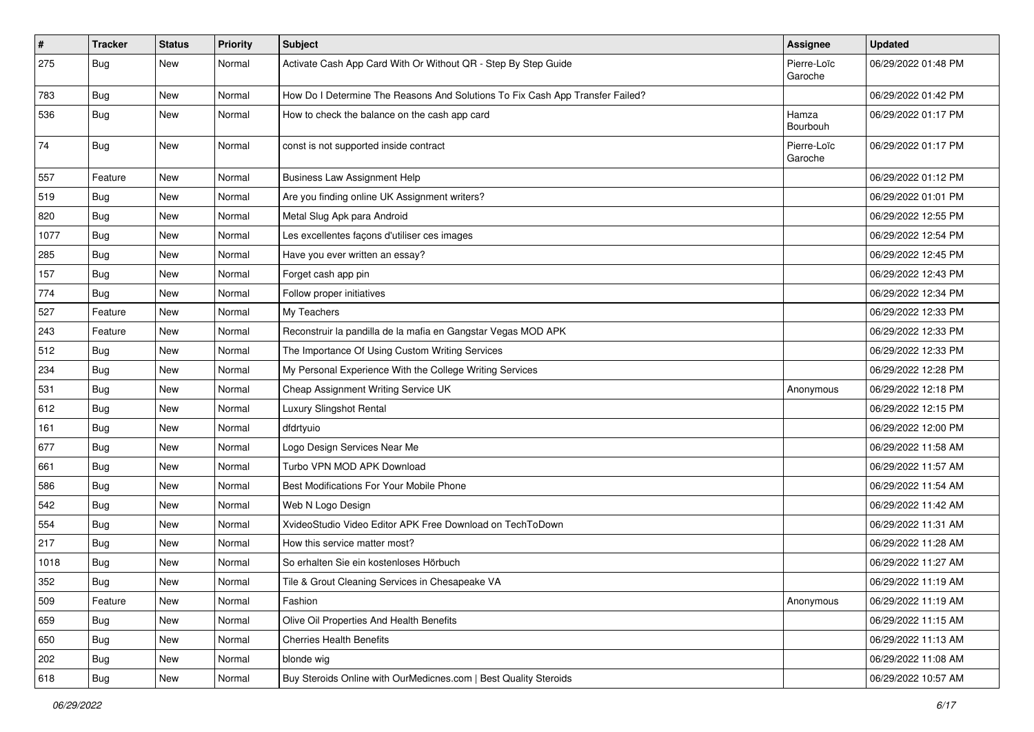| $\vert$ # | <b>Tracker</b> | <b>Status</b> | Priority | Subject                                                                       | <b>Assignee</b>        | <b>Updated</b>      |
|-----------|----------------|---------------|----------|-------------------------------------------------------------------------------|------------------------|---------------------|
| 275       | <b>Bug</b>     | New           | Normal   | Activate Cash App Card With Or Without QR - Step By Step Guide                | Pierre-Loïc<br>Garoche | 06/29/2022 01:48 PM |
| 783       | <b>Bug</b>     | New           | Normal   | How Do I Determine The Reasons And Solutions To Fix Cash App Transfer Failed? |                        | 06/29/2022 01:42 PM |
| 536       | <b>Bug</b>     | New           | Normal   | How to check the balance on the cash app card                                 | Hamza<br>Bourbouh      | 06/29/2022 01:17 PM |
| 74        | Bug            | New           | Normal   | const is not supported inside contract                                        | Pierre-Loïc<br>Garoche | 06/29/2022 01:17 PM |
| 557       | Feature        | New           | Normal   | <b>Business Law Assignment Help</b>                                           |                        | 06/29/2022 01:12 PM |
| 519       | Bug            | New           | Normal   | Are you finding online UK Assignment writers?                                 |                        | 06/29/2022 01:01 PM |
| 820       | Bug            | New           | Normal   | Metal Slug Apk para Android                                                   |                        | 06/29/2022 12:55 PM |
| 1077      | <b>Bug</b>     | New           | Normal   | Les excellentes façons d'utiliser ces images                                  |                        | 06/29/2022 12:54 PM |
| 285       | <b>Bug</b>     | New           | Normal   | Have you ever written an essay?                                               |                        | 06/29/2022 12:45 PM |
| 157       | <b>Bug</b>     | New           | Normal   | Forget cash app pin                                                           |                        | 06/29/2022 12:43 PM |
| 774       | <b>Bug</b>     | New           | Normal   | Follow proper initiatives                                                     |                        | 06/29/2022 12:34 PM |
| 527       | Feature        | New           | Normal   | My Teachers                                                                   |                        | 06/29/2022 12:33 PM |
| 243       | Feature        | New           | Normal   | Reconstruir la pandilla de la mafia en Gangstar Vegas MOD APK                 |                        | 06/29/2022 12:33 PM |
| 512       | Bug            | New           | Normal   | The Importance Of Using Custom Writing Services                               |                        | 06/29/2022 12:33 PM |
| 234       | Bug            | New           | Normal   | My Personal Experience With the College Writing Services                      |                        | 06/29/2022 12:28 PM |
| 531       | Bug            | New           | Normal   | Cheap Assignment Writing Service UK                                           | Anonymous              | 06/29/2022 12:18 PM |
| 612       | Bug            | New           | Normal   | Luxury Slingshot Rental                                                       |                        | 06/29/2022 12:15 PM |
| 161       | Bug            | New           | Normal   | dfdrtyuio                                                                     |                        | 06/29/2022 12:00 PM |
| 677       | <b>Bug</b>     | New           | Normal   | Logo Design Services Near Me                                                  |                        | 06/29/2022 11:58 AM |
| 661       | <b>Bug</b>     | New           | Normal   | Turbo VPN MOD APK Download                                                    |                        | 06/29/2022 11:57 AM |
| 586       | Bug            | New           | Normal   | Best Modifications For Your Mobile Phone                                      |                        | 06/29/2022 11:54 AM |
| 542       | <b>Bug</b>     | New           | Normal   | Web N Logo Design                                                             |                        | 06/29/2022 11:42 AM |
| 554       | Bug            | New           | Normal   | XvideoStudio Video Editor APK Free Download on TechToDown                     |                        | 06/29/2022 11:31 AM |
| 217       | <b>Bug</b>     | New           | Normal   | How this service matter most?                                                 |                        | 06/29/2022 11:28 AM |
| 1018      | <b>Bug</b>     | New           | Normal   | So erhalten Sie ein kostenloses Hörbuch                                       |                        | 06/29/2022 11:27 AM |
| 352       | <b>Bug</b>     | New           | Normal   | Tile & Grout Cleaning Services in Chesapeake VA                               |                        | 06/29/2022 11:19 AM |
| 509       | Feature        | New           | Normal   | Fashion                                                                       | Anonymous              | 06/29/2022 11:19 AM |
| 659       | <b>Bug</b>     | New           | Normal   | Olive Oil Properties And Health Benefits                                      |                        | 06/29/2022 11:15 AM |
| 650       | Bug            | New           | Normal   | <b>Cherries Health Benefits</b>                                               |                        | 06/29/2022 11:13 AM |
| 202       | <b>Bug</b>     | New           | Normal   | blonde wig                                                                    |                        | 06/29/2022 11:08 AM |
| 618       | <b>Bug</b>     | New           | Normal   | Buy Steroids Online with OurMedicnes.com   Best Quality Steroids              |                        | 06/29/2022 10:57 AM |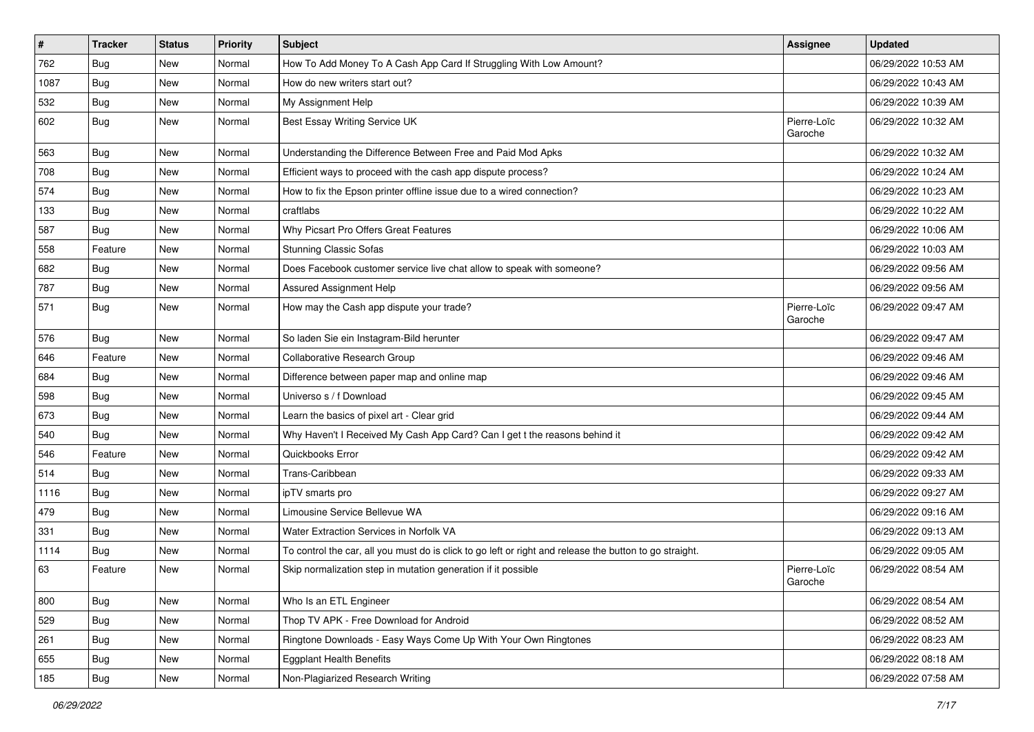| $\sharp$ | <b>Tracker</b> | <b>Status</b> | <b>Priority</b> | <b>Subject</b>                                                                                          | <b>Assignee</b>        | <b>Updated</b>      |
|----------|----------------|---------------|-----------------|---------------------------------------------------------------------------------------------------------|------------------------|---------------------|
| 762      | <b>Bug</b>     | New           | Normal          | How To Add Money To A Cash App Card If Struggling With Low Amount?                                      |                        | 06/29/2022 10:53 AM |
| 1087     | <b>Bug</b>     | New           | Normal          | How do new writers start out?                                                                           |                        | 06/29/2022 10:43 AM |
| 532      | Bug            | New           | Normal          | My Assignment Help                                                                                      |                        | 06/29/2022 10:39 AM |
| 602      | <b>Bug</b>     | New           | Normal          | Best Essay Writing Service UK                                                                           | Pierre-Loïc<br>Garoche | 06/29/2022 10:32 AM |
| 563      | <b>Bug</b>     | New           | Normal          | Understanding the Difference Between Free and Paid Mod Apks                                             |                        | 06/29/2022 10:32 AM |
| 708      | Bug            | New           | Normal          | Efficient ways to proceed with the cash app dispute process?                                            |                        | 06/29/2022 10:24 AM |
| 574      | Bug            | New           | Normal          | How to fix the Epson printer offline issue due to a wired connection?                                   |                        | 06/29/2022 10:23 AM |
| 133      | Bug            | New           | Normal          | craftlabs                                                                                               |                        | 06/29/2022 10:22 AM |
| 587      | Bug            | New           | Normal          | Why Picsart Pro Offers Great Features                                                                   |                        | 06/29/2022 10:06 AM |
| 558      | Feature        | New           | Normal          | <b>Stunning Classic Sofas</b>                                                                           |                        | 06/29/2022 10:03 AM |
| 682      | Bug            | New           | Normal          | Does Facebook customer service live chat allow to speak with someone?                                   |                        | 06/29/2022 09:56 AM |
| 787      | <b>Bug</b>     | New           | Normal          | <b>Assured Assignment Help</b>                                                                          |                        | 06/29/2022 09:56 AM |
| 571      | <b>Bug</b>     | New           | Normal          | How may the Cash app dispute your trade?                                                                | Pierre-Loïc<br>Garoche | 06/29/2022 09:47 AM |
| 576      | Bug            | New           | Normal          | So laden Sie ein Instagram-Bild herunter                                                                |                        | 06/29/2022 09:47 AM |
| 646      | Feature        | New           | Normal          | Collaborative Research Group                                                                            |                        | 06/29/2022 09:46 AM |
| 684      | Bug            | New           | Normal          | Difference between paper map and online map                                                             |                        | 06/29/2022 09:46 AM |
| 598      | <b>Bug</b>     | New           | Normal          | Universo s / f Download                                                                                 |                        | 06/29/2022 09:45 AM |
| 673      | <b>Bug</b>     | New           | Normal          | Learn the basics of pixel art - Clear grid                                                              |                        | 06/29/2022 09:44 AM |
| 540      | Bug            | New           | Normal          | Why Haven't I Received My Cash App Card? Can I get t the reasons behind it                              |                        | 06/29/2022 09:42 AM |
| 546      | Feature        | New           | Normal          | Quickbooks Error                                                                                        |                        | 06/29/2022 09:42 AM |
| 514      | <b>Bug</b>     | New           | Normal          | Trans-Caribbean                                                                                         |                        | 06/29/2022 09:33 AM |
| 1116     | <b>Bug</b>     | New           | Normal          | ipTV smarts pro                                                                                         |                        | 06/29/2022 09:27 AM |
| 479      | <b>Bug</b>     | New           | Normal          | Limousine Service Bellevue WA                                                                           |                        | 06/29/2022 09:16 AM |
| 331      | Bug            | New           | Normal          | Water Extraction Services in Norfolk VA                                                                 |                        | 06/29/2022 09:13 AM |
| 1114     | <b>Bug</b>     | New           | Normal          | To control the car, all you must do is click to go left or right and release the button to go straight. |                        | 06/29/2022 09:05 AM |
| 63       | Feature        | New           | Normal          | Skip normalization step in mutation generation if it possible                                           | Pierre-Loïc<br>Garoche | 06/29/2022 08:54 AM |
| 800      | <b>Bug</b>     | New           | Normal          | Who Is an ETL Engineer                                                                                  |                        | 06/29/2022 08:54 AM |
| 529      | <b>Bug</b>     | New           | Normal          | Thop TV APK - Free Download for Android                                                                 |                        | 06/29/2022 08:52 AM |
| 261      | <b>Bug</b>     | New           | Normal          | Ringtone Downloads - Easy Ways Come Up With Your Own Ringtones                                          |                        | 06/29/2022 08:23 AM |
| 655      | Bug            | New           | Normal          | <b>Eggplant Health Benefits</b>                                                                         |                        | 06/29/2022 08:18 AM |
| 185      | Bug            | New           | Normal          | Non-Plagiarized Research Writing                                                                        |                        | 06/29/2022 07:58 AM |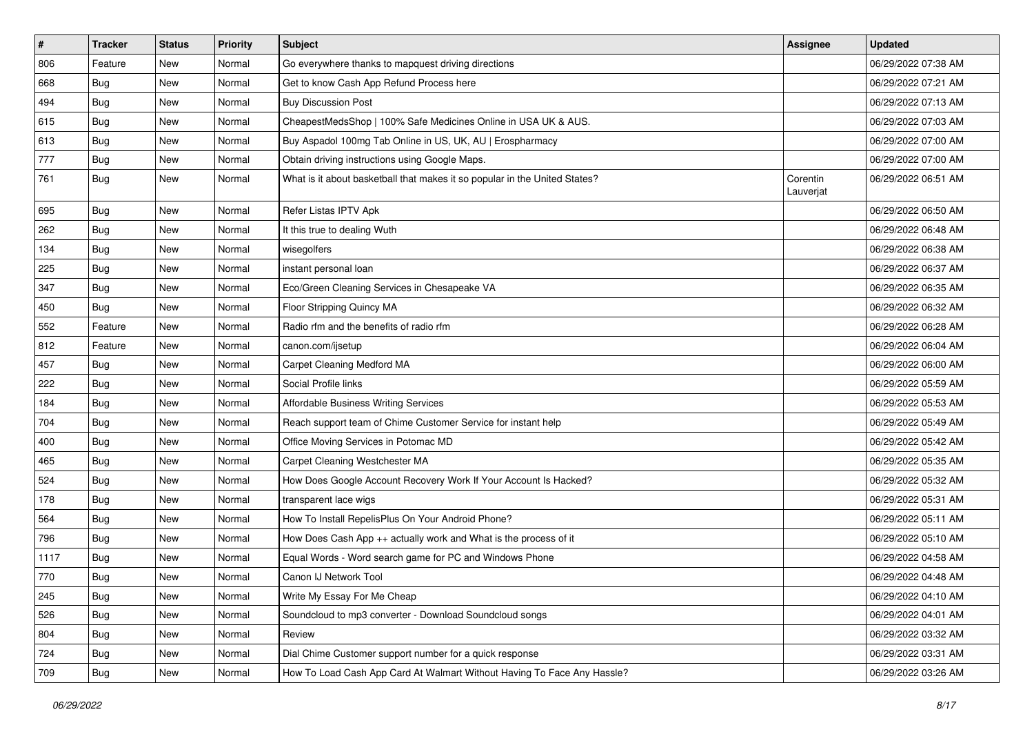| $\vert$ # | Tracker    | <b>Status</b> | <b>Priority</b> | Subject                                                                    | <b>Assignee</b>       | <b>Updated</b>      |
|-----------|------------|---------------|-----------------|----------------------------------------------------------------------------|-----------------------|---------------------|
| 806       | Feature    | New           | Normal          | Go everywhere thanks to mapquest driving directions                        |                       | 06/29/2022 07:38 AM |
| 668       | Bug        | New           | Normal          | Get to know Cash App Refund Process here                                   |                       | 06/29/2022 07:21 AM |
| 494       | <b>Bug</b> | New           | Normal          | <b>Buy Discussion Post</b>                                                 |                       | 06/29/2022 07:13 AM |
| 615       | <b>Bug</b> | New           | Normal          | CheapestMedsShop   100% Safe Medicines Online in USA UK & AUS.             |                       | 06/29/2022 07:03 AM |
| 613       | Bug        | New           | Normal          | Buy Aspadol 100mg Tab Online in US, UK, AU   Erospharmacy                  |                       | 06/29/2022 07:00 AM |
| 777       | <b>Bug</b> | New           | Normal          | Obtain driving instructions using Google Maps.                             |                       | 06/29/2022 07:00 AM |
| 761       | <b>Bug</b> | New           | Normal          | What is it about basketball that makes it so popular in the United States? | Corentin<br>Lauverjat | 06/29/2022 06:51 AM |
| 695       | <b>Bug</b> | New           | Normal          | Refer Listas IPTV Apk                                                      |                       | 06/29/2022 06:50 AM |
| 262       | <b>Bug</b> | New           | Normal          | It this true to dealing Wuth                                               |                       | 06/29/2022 06:48 AM |
| 134       | <b>Bug</b> | New           | Normal          | wisegolfers                                                                |                       | 06/29/2022 06:38 AM |
| 225       | <b>Bug</b> | New           | Normal          | instant personal loan                                                      |                       | 06/29/2022 06:37 AM |
| 347       | Bug        | New           | Normal          | Eco/Green Cleaning Services in Chesapeake VA                               |                       | 06/29/2022 06:35 AM |
| 450       | Bug        | New           | Normal          | Floor Stripping Quincy MA                                                  |                       | 06/29/2022 06:32 AM |
| 552       | Feature    | New           | Normal          | Radio rfm and the benefits of radio rfm                                    |                       | 06/29/2022 06:28 AM |
| 812       | Feature    | New           | Normal          | canon.com/ijsetup                                                          |                       | 06/29/2022 06:04 AM |
| 457       | <b>Bug</b> | New           | Normal          | Carpet Cleaning Medford MA                                                 |                       | 06/29/2022 06:00 AM |
| 222       | Bug        | New           | Normal          | Social Profile links                                                       |                       | 06/29/2022 05:59 AM |
| 184       | <b>Bug</b> | New           | Normal          | <b>Affordable Business Writing Services</b>                                |                       | 06/29/2022 05:53 AM |
| 704       | <b>Bug</b> | New           | Normal          | Reach support team of Chime Customer Service for instant help              |                       | 06/29/2022 05:49 AM |
| 400       | <b>Bug</b> | New           | Normal          | Office Moving Services in Potomac MD                                       |                       | 06/29/2022 05:42 AM |
| 465       | Bug        | New           | Normal          | Carpet Cleaning Westchester MA                                             |                       | 06/29/2022 05:35 AM |
| 524       | Bug        | New           | Normal          | How Does Google Account Recovery Work If Your Account Is Hacked?           |                       | 06/29/2022 05:32 AM |
| 178       | <b>Bug</b> | New           | Normal          | transparent lace wigs                                                      |                       | 06/29/2022 05:31 AM |
| 564       | <b>Bug</b> | New           | Normal          | How To Install RepelisPlus On Your Android Phone?                          |                       | 06/29/2022 05:11 AM |
| 796       | Bug        | New           | Normal          | How Does Cash App ++ actually work and What is the process of it           |                       | 06/29/2022 05:10 AM |
| 1117      | Bug        | New           | Normal          | Equal Words - Word search game for PC and Windows Phone                    |                       | 06/29/2022 04:58 AM |
| 770       | <b>Bug</b> | New           | Normal          | Canon IJ Network Tool                                                      |                       | 06/29/2022 04:48 AM |
| 245       | <b>Bug</b> | New           | Normal          | Write My Essay For Me Cheap                                                |                       | 06/29/2022 04:10 AM |
| 526       | <b>Bug</b> | New           | Normal          | Soundcloud to mp3 converter - Download Soundcloud songs                    |                       | 06/29/2022 04:01 AM |
| 804       | Bug        | New           | Normal          | Review                                                                     |                       | 06/29/2022 03:32 AM |
| 724       | <b>Bug</b> | New           | Normal          | Dial Chime Customer support number for a quick response                    |                       | 06/29/2022 03:31 AM |
| 709       | <b>Bug</b> | New           | Normal          | How To Load Cash App Card At Walmart Without Having To Face Any Hassle?    |                       | 06/29/2022 03:26 AM |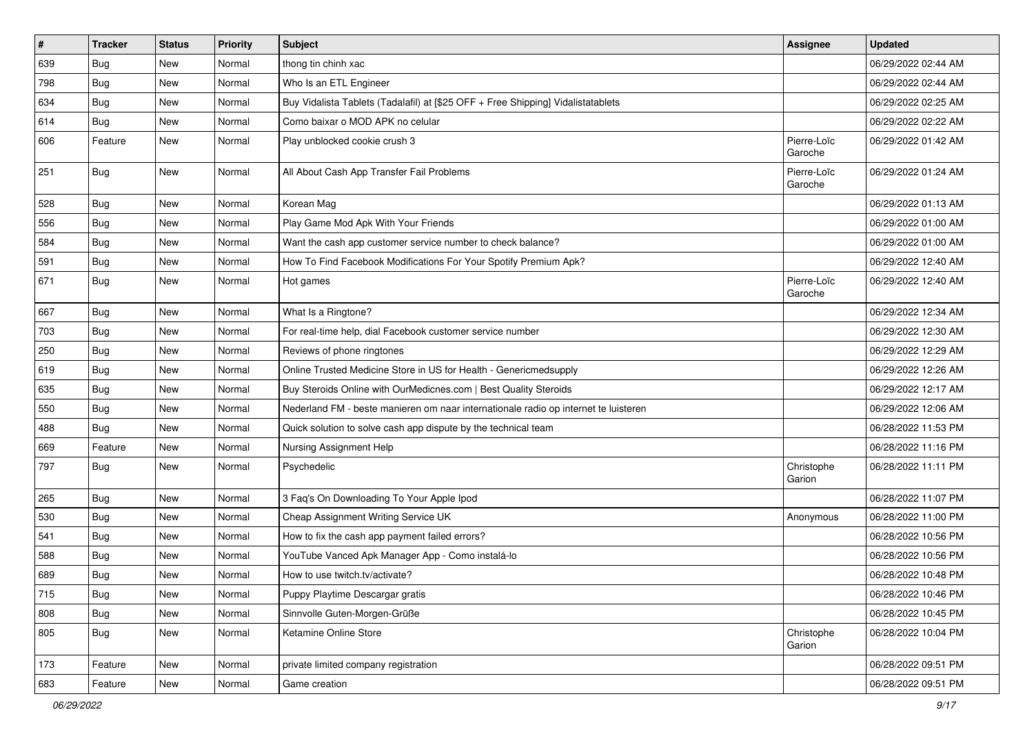| $\vert$ # | <b>Tracker</b> | <b>Status</b> | <b>Priority</b> | Subject                                                                             | Assignee               | <b>Updated</b>      |
|-----------|----------------|---------------|-----------------|-------------------------------------------------------------------------------------|------------------------|---------------------|
| 639       | <b>Bug</b>     | New           | Normal          | thong tin chinh xac                                                                 |                        | 06/29/2022 02:44 AM |
| 798       | Bug            | New           | Normal          | Who Is an ETL Engineer                                                              |                        | 06/29/2022 02:44 AM |
| 634       | Bug            | New           | Normal          | Buy Vidalista Tablets (Tadalafil) at [\$25 OFF + Free Shipping] Vidalistatablets    |                        | 06/29/2022 02:25 AM |
| 614       | <b>Bug</b>     | New           | Normal          | Como baixar o MOD APK no celular                                                    |                        | 06/29/2022 02:22 AM |
| 606       | Feature        | New           | Normal          | Play unblocked cookie crush 3                                                       | Pierre-Loïc<br>Garoche | 06/29/2022 01:42 AM |
| 251       | Bug            | New           | Normal          | All About Cash App Transfer Fail Problems                                           | Pierre-Loïc<br>Garoche | 06/29/2022 01:24 AM |
| 528       | Bug            | New           | Normal          | Korean Mag                                                                          |                        | 06/29/2022 01:13 AM |
| 556       | <b>Bug</b>     | New           | Normal          | Play Game Mod Apk With Your Friends                                                 |                        | 06/29/2022 01:00 AM |
| 584       | Bug            | New           | Normal          | Want the cash app customer service number to check balance?                         |                        | 06/29/2022 01:00 AM |
| 591       | Bug            | <b>New</b>    | Normal          | How To Find Facebook Modifications For Your Spotify Premium Apk?                    |                        | 06/29/2022 12:40 AM |
| 671       | <b>Bug</b>     | New           | Normal          | Hot games                                                                           | Pierre-Loïc<br>Garoche | 06/29/2022 12:40 AM |
| 667       | <b>Bug</b>     | New           | Normal          | What Is a Ringtone?                                                                 |                        | 06/29/2022 12:34 AM |
| 703       | Bug            | New           | Normal          | For real-time help, dial Facebook customer service number                           |                        | 06/29/2022 12:30 AM |
| 250       | Bug            | New           | Normal          | Reviews of phone ringtones                                                          |                        | 06/29/2022 12:29 AM |
| 619       | Bug            | <b>New</b>    | Normal          | Online Trusted Medicine Store in US for Health - Genericmedsupply                   |                        | 06/29/2022 12:26 AM |
| 635       | Bug            | New           | Normal          | Buy Steroids Online with OurMedicnes.com   Best Quality Steroids                    |                        | 06/29/2022 12:17 AM |
| 550       | <b>Bug</b>     | <b>New</b>    | Normal          | Nederland FM - beste manieren om naar internationale radio op internet te luisteren |                        | 06/29/2022 12:06 AM |
| 488       | Bug            | New           | Normal          | Quick solution to solve cash app dispute by the technical team                      |                        | 06/28/2022 11:53 PM |
| 669       | Feature        | New           | Normal          | Nursing Assignment Help                                                             |                        | 06/28/2022 11:16 PM |
| 797       | <b>Bug</b>     | New           | Normal          | Psychedelic                                                                         | Christophe<br>Garion   | 06/28/2022 11:11 PM |
| 265       | Bug            | New           | Normal          | 3 Faq's On Downloading To Your Apple Ipod                                           |                        | 06/28/2022 11:07 PM |
| 530       | <b>Bug</b>     | New           | Normal          | Cheap Assignment Writing Service UK                                                 | Anonymous              | 06/28/2022 11:00 PM |
| 541       | <b>Bug</b>     | New           | Normal          | How to fix the cash app payment failed errors?                                      |                        | 06/28/2022 10:56 PM |
| 588       | Bug            | New           | Normal          | YouTube Vanced Apk Manager App - Como instalá-lo                                    |                        | 06/28/2022 10:56 PM |
| 689       | Bug            | New           | Normal          | How to use twitch.tv/activate?                                                      |                        | 06/28/2022 10:48 PM |
| 715       | <b>Bug</b>     | New           | Normal          | Puppy Playtime Descargar gratis                                                     |                        | 06/28/2022 10:46 PM |
| 808       | <b>Bug</b>     | New           | Normal          | Sinnvolle Guten-Morgen-Grüße                                                        |                        | 06/28/2022 10:45 PM |
| 805       | <b>Bug</b>     | New           | Normal          | Ketamine Online Store                                                               | Christophe<br>Garion   | 06/28/2022 10:04 PM |
| 173       | Feature        | New           | Normal          | private limited company registration                                                |                        | 06/28/2022 09:51 PM |
| 683       | Feature        | New           | Normal          | Game creation                                                                       |                        | 06/28/2022 09:51 PM |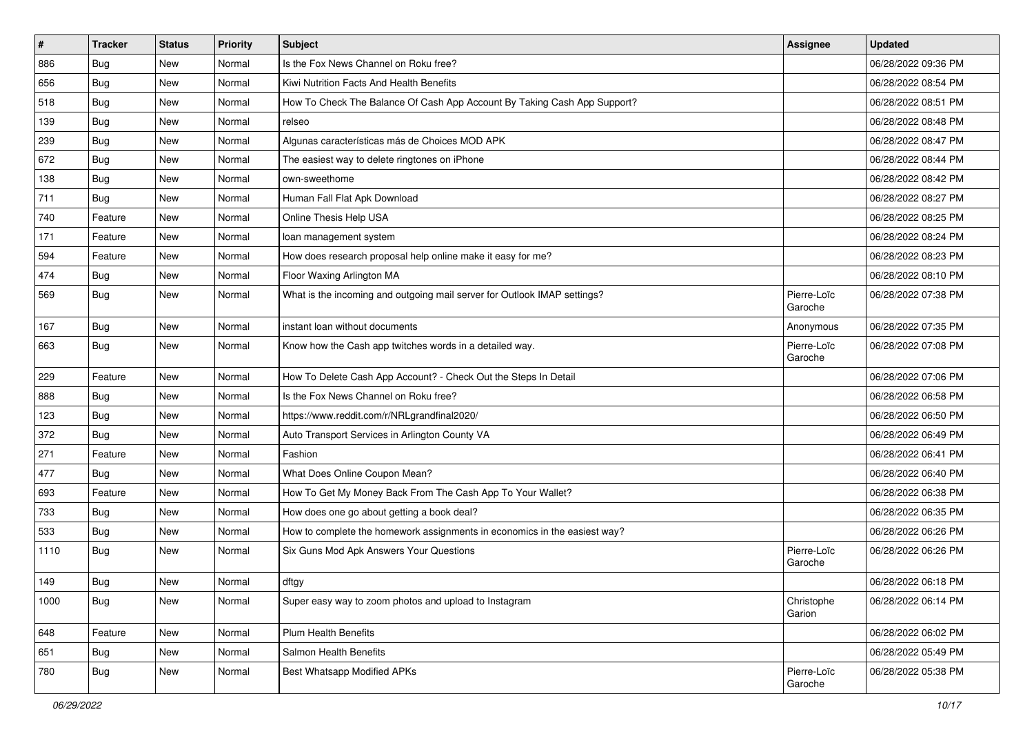| $\sharp$ | <b>Tracker</b> | <b>Status</b> | <b>Priority</b> | <b>Subject</b>                                                            | Assignee               | <b>Updated</b>      |
|----------|----------------|---------------|-----------------|---------------------------------------------------------------------------|------------------------|---------------------|
| 886      | <b>Bug</b>     | New           | Normal          | Is the Fox News Channel on Roku free?                                     |                        | 06/28/2022 09:36 PM |
| 656      | <b>Bug</b>     | <b>New</b>    | Normal          | Kiwi Nutrition Facts And Health Benefits                                  |                        | 06/28/2022 08:54 PM |
| 518      | Bug            | New           | Normal          | How To Check The Balance Of Cash App Account By Taking Cash App Support?  |                        | 06/28/2022 08:51 PM |
| 139      | <b>Bug</b>     | New           | Normal          | relseo                                                                    |                        | 06/28/2022 08:48 PM |
| 239      | Bug            | <b>New</b>    | Normal          | Algunas características más de Choices MOD APK                            |                        | 06/28/2022 08:47 PM |
| 672      | <b>Bug</b>     | New           | Normal          | The easiest way to delete ringtones on iPhone                             |                        | 06/28/2022 08:44 PM |
| 138      | Bug            | <b>New</b>    | Normal          | own-sweethome                                                             |                        | 06/28/2022 08:42 PM |
| 711      | <b>Bug</b>     | New           | Normal          | Human Fall Flat Apk Download                                              |                        | 06/28/2022 08:27 PM |
| 740      | Feature        | New           | Normal          | Online Thesis Help USA                                                    |                        | 06/28/2022 08:25 PM |
| 171      | Feature        | <b>New</b>    | Normal          | loan management system                                                    |                        | 06/28/2022 08:24 PM |
| 594      | Feature        | New           | Normal          | How does research proposal help online make it easy for me?               |                        | 06/28/2022 08:23 PM |
| 474      | Bug            | New           | Normal          | Floor Waxing Arlington MA                                                 |                        | 06/28/2022 08:10 PM |
| 569      | <b>Bug</b>     | <b>New</b>    | Normal          | What is the incoming and outgoing mail server for Outlook IMAP settings?  | Pierre-Loïc<br>Garoche | 06/28/2022 07:38 PM |
| 167      | Bug            | <b>New</b>    | Normal          | instant loan without documents                                            | Anonymous              | 06/28/2022 07:35 PM |
| 663      | <b>Bug</b>     | New           | Normal          | Know how the Cash app twitches words in a detailed way.                   | Pierre-Loïc<br>Garoche | 06/28/2022 07:08 PM |
| 229      | Feature        | <b>New</b>    | Normal          | How To Delete Cash App Account? - Check Out the Steps In Detail           |                        | 06/28/2022 07:06 PM |
| 888      | <b>Bug</b>     | New           | Normal          | Is the Fox News Channel on Roku free?                                     |                        | 06/28/2022 06:58 PM |
| 123      | Bug            | New           | Normal          | https://www.reddit.com/r/NRLgrandfinal2020/                               |                        | 06/28/2022 06:50 PM |
| 372      | Bug            | <b>New</b>    | Normal          | Auto Transport Services in Arlington County VA                            |                        | 06/28/2022 06:49 PM |
| 271      | Feature        | New           | Normal          | Fashion                                                                   |                        | 06/28/2022 06:41 PM |
| 477      | <b>Bug</b>     | New           | Normal          | What Does Online Coupon Mean?                                             |                        | 06/28/2022 06:40 PM |
| 693      | Feature        | New           | Normal          | How To Get My Money Back From The Cash App To Your Wallet?                |                        | 06/28/2022 06:38 PM |
| 733      | <b>Bug</b>     | New           | Normal          | How does one go about getting a book deal?                                |                        | 06/28/2022 06:35 PM |
| 533      | Bug            | <b>New</b>    | Normal          | How to complete the homework assignments in economics in the easiest way? |                        | 06/28/2022 06:26 PM |
| 1110     | <b>Bug</b>     | New           | Normal          | Six Guns Mod Apk Answers Your Questions                                   | Pierre-Loïc<br>Garoche | 06/28/2022 06:26 PM |
| 149      | <b>Bug</b>     | New           | Normal          | dftgy                                                                     |                        | 06/28/2022 06:18 PM |
| 1000     | Bug            | New           | Normal          | Super easy way to zoom photos and upload to Instagram                     | Christophe<br>Garion   | 06/28/2022 06:14 PM |
| 648      | Feature        | New           | Normal          | Plum Health Benefits                                                      |                        | 06/28/2022 06:02 PM |
| 651      | <b>Bug</b>     | New           | Normal          | Salmon Health Benefits                                                    |                        | 06/28/2022 05:49 PM |
| 780      | <b>Bug</b>     | New           | Normal          | <b>Best Whatsapp Modified APKs</b>                                        | Pierre-Loïc<br>Garoche | 06/28/2022 05:38 PM |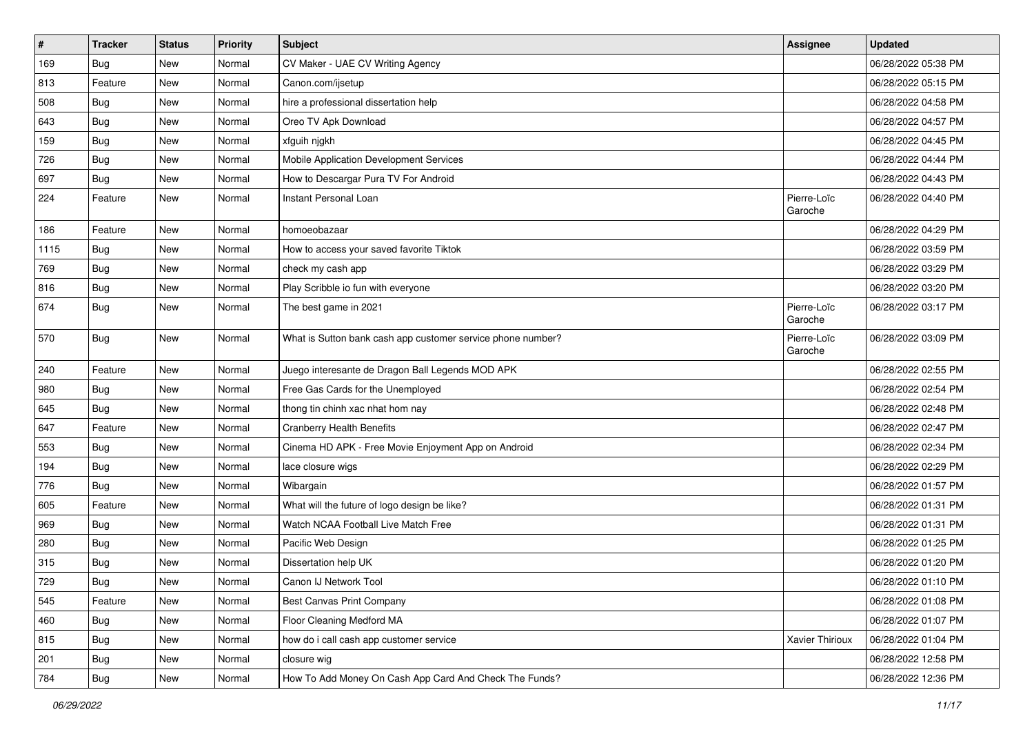| $\sharp$ | <b>Tracker</b> | <b>Status</b> | <b>Priority</b> | <b>Subject</b>                                              | Assignee               | <b>Updated</b>      |
|----------|----------------|---------------|-----------------|-------------------------------------------------------------|------------------------|---------------------|
| 169      | <b>Bug</b>     | New           | Normal          | CV Maker - UAE CV Writing Agency                            |                        | 06/28/2022 05:38 PM |
| 813      | Feature        | New           | Normal          | Canon.com/ijsetup                                           |                        | 06/28/2022 05:15 PM |
| 508      | Bug            | New           | Normal          | hire a professional dissertation help                       |                        | 06/28/2022 04:58 PM |
| 643      | <b>Bug</b>     | New           | Normal          | Oreo TV Apk Download                                        |                        | 06/28/2022 04:57 PM |
| 159      | Bug            | New           | Normal          | xfguih njgkh                                                |                        | 06/28/2022 04:45 PM |
| 726      | <b>Bug</b>     | New           | Normal          | Mobile Application Development Services                     |                        | 06/28/2022 04:44 PM |
| 697      | <b>Bug</b>     | New           | Normal          | How to Descargar Pura TV For Android                        |                        | 06/28/2022 04:43 PM |
| 224      | Feature        | New           | Normal          | Instant Personal Loan                                       | Pierre-Loïc<br>Garoche | 06/28/2022 04:40 PM |
| 186      | Feature        | New           | Normal          | homoeobazaar                                                |                        | 06/28/2022 04:29 PM |
| 1115     | Bug            | New           | Normal          | How to access your saved favorite Tiktok                    |                        | 06/28/2022 03:59 PM |
| 769      | <b>Bug</b>     | New           | Normal          | check my cash app                                           |                        | 06/28/2022 03:29 PM |
| 816      | Bug            | New           | Normal          | Play Scribble io fun with everyone                          |                        | 06/28/2022 03:20 PM |
| 674      | <b>Bug</b>     | New           | Normal          | The best game in 2021                                       | Pierre-Loïc<br>Garoche | 06/28/2022 03:17 PM |
| 570      | Bug            | New           | Normal          | What is Sutton bank cash app customer service phone number? | Pierre-Loïc<br>Garoche | 06/28/2022 03:09 PM |
| 240      | Feature        | New           | Normal          | Juego interesante de Dragon Ball Legends MOD APK            |                        | 06/28/2022 02:55 PM |
| 980      | <b>Bug</b>     | New           | Normal          | Free Gas Cards for the Unemployed                           |                        | 06/28/2022 02:54 PM |
| 645      | <b>Bug</b>     | New           | Normal          | thong tin chinh xac nhat hom nay                            |                        | 06/28/2022 02:48 PM |
| 647      | Feature        | New           | Normal          | <b>Cranberry Health Benefits</b>                            |                        | 06/28/2022 02:47 PM |
| 553      | <b>Bug</b>     | New           | Normal          | Cinema HD APK - Free Movie Enjoyment App on Android         |                        | 06/28/2022 02:34 PM |
| 194      | Bug            | New           | Normal          | lace closure wigs                                           |                        | 06/28/2022 02:29 PM |
| 776      | Bug            | New           | Normal          | Wibargain                                                   |                        | 06/28/2022 01:57 PM |
| 605      | Feature        | New           | Normal          | What will the future of logo design be like?                |                        | 06/28/2022 01:31 PM |
| 969      | Bug            | New           | Normal          | Watch NCAA Football Live Match Free                         |                        | 06/28/2022 01:31 PM |
| 280      | <b>Bug</b>     | New           | Normal          | Pacific Web Design                                          |                        | 06/28/2022 01:25 PM |
| 315      | <b>Bug</b>     | New           | Normal          | Dissertation help UK                                        |                        | 06/28/2022 01:20 PM |
| 729      | <b>Bug</b>     | New           | Normal          | Canon IJ Network Tool                                       |                        | 06/28/2022 01:10 PM |
| 545      | Feature        | New           | Normal          | Best Canvas Print Company                                   |                        | 06/28/2022 01:08 PM |
| 460      | Bug            | New           | Normal          | Floor Cleaning Medford MA                                   |                        | 06/28/2022 01:07 PM |
| 815      | <b>Bug</b>     | New           | Normal          | how do i call cash app customer service                     | Xavier Thirioux        | 06/28/2022 01:04 PM |
| 201      | <b>Bug</b>     | New           | Normal          | closure wig                                                 |                        | 06/28/2022 12:58 PM |
| 784      | <b>Bug</b>     | New           | Normal          | How To Add Money On Cash App Card And Check The Funds?      |                        | 06/28/2022 12:36 PM |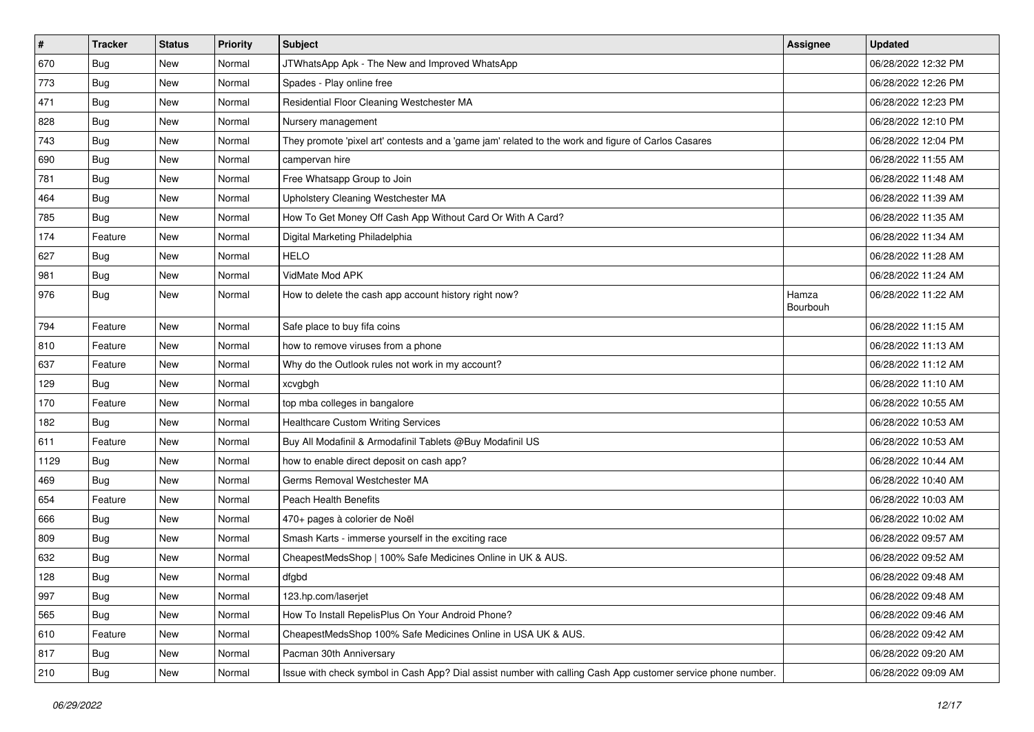| $\vert$ # | <b>Tracker</b> | <b>Status</b> | <b>Priority</b> | Subject                                                                                                      | Assignee          | <b>Updated</b>      |
|-----------|----------------|---------------|-----------------|--------------------------------------------------------------------------------------------------------------|-------------------|---------------------|
| 670       | <b>Bug</b>     | New           | Normal          | JTWhatsApp Apk - The New and Improved WhatsApp                                                               |                   | 06/28/2022 12:32 PM |
| 773       | <b>Bug</b>     | New           | Normal          | Spades - Play online free                                                                                    |                   | 06/28/2022 12:26 PM |
| 471       | Bug            | New           | Normal          | Residential Floor Cleaning Westchester MA                                                                    |                   | 06/28/2022 12:23 PM |
| 828       | <b>Bug</b>     | New           | Normal          | Nursery management                                                                                           |                   | 06/28/2022 12:10 PM |
| 743       | Bug            | New           | Normal          | They promote 'pixel art' contests and a 'game jam' related to the work and figure of Carlos Casares          |                   | 06/28/2022 12:04 PM |
| 690       | <b>Bug</b>     | New           | Normal          | campervan hire                                                                                               |                   | 06/28/2022 11:55 AM |
| 781       | <b>Bug</b>     | New           | Normal          | Free Whatsapp Group to Join                                                                                  |                   | 06/28/2022 11:48 AM |
| 464       | <b>Bug</b>     | New           | Normal          | Upholstery Cleaning Westchester MA                                                                           |                   | 06/28/2022 11:39 AM |
| 785       | <b>Bug</b>     | New           | Normal          | How To Get Money Off Cash App Without Card Or With A Card?                                                   |                   | 06/28/2022 11:35 AM |
| 174       | Feature        | New           | Normal          | Digital Marketing Philadelphia                                                                               |                   | 06/28/2022 11:34 AM |
| 627       | <b>Bug</b>     | New           | Normal          | <b>HELO</b>                                                                                                  |                   | 06/28/2022 11:28 AM |
| 981       | Bug            | New           | Normal          | VidMate Mod APK                                                                                              |                   | 06/28/2022 11:24 AM |
| 976       | Bug            | New           | Normal          | How to delete the cash app account history right now?                                                        | Hamza<br>Bourbouh | 06/28/2022 11:22 AM |
| 794       | Feature        | New           | Normal          | Safe place to buy fifa coins                                                                                 |                   | 06/28/2022 11:15 AM |
| 810       | Feature        | New           | Normal          | how to remove viruses from a phone                                                                           |                   | 06/28/2022 11:13 AM |
| 637       | Feature        | New           | Normal          | Why do the Outlook rules not work in my account?                                                             |                   | 06/28/2022 11:12 AM |
| 129       | Bug            | New           | Normal          | xcvgbgh                                                                                                      |                   | 06/28/2022 11:10 AM |
| 170       | Feature        | New           | Normal          | top mba colleges in bangalore                                                                                |                   | 06/28/2022 10:55 AM |
| 182       | Bug            | New           | Normal          | <b>Healthcare Custom Writing Services</b>                                                                    |                   | 06/28/2022 10:53 AM |
| 611       | Feature        | <b>New</b>    | Normal          | Buy All Modafinil & Armodafinil Tablets @Buy Modafinil US                                                    |                   | 06/28/2022 10:53 AM |
| 1129      | Bug            | New           | Normal          | how to enable direct deposit on cash app?                                                                    |                   | 06/28/2022 10:44 AM |
| 469       | Bug            | New           | Normal          | Germs Removal Westchester MA                                                                                 |                   | 06/28/2022 10:40 AM |
| 654       | Feature        | New           | Normal          | Peach Health Benefits                                                                                        |                   | 06/28/2022 10:03 AM |
| 666       | <b>Bug</b>     | New           | Normal          | 470+ pages à colorier de Noël                                                                                |                   | 06/28/2022 10:02 AM |
| 809       | Bug            | New           | Normal          | Smash Karts - immerse yourself in the exciting race                                                          |                   | 06/28/2022 09:57 AM |
| 632       | Bug            | New           | Normal          | CheapestMedsShop   100% Safe Medicines Online in UK & AUS.                                                   |                   | 06/28/2022 09:52 AM |
| 128       | <b>Bug</b>     | New           | Normal          | dfgbd                                                                                                        |                   | 06/28/2022 09:48 AM |
| 997       | <b>Bug</b>     | New           | Normal          | 123.hp.com/laserjet                                                                                          |                   | 06/28/2022 09:48 AM |
| 565       | <b>Bug</b>     | New           | Normal          | How To Install RepelisPlus On Your Android Phone?                                                            |                   | 06/28/2022 09:46 AM |
| 610       | Feature        | New           | Normal          | CheapestMedsShop 100% Safe Medicines Online in USA UK & AUS.                                                 |                   | 06/28/2022 09:42 AM |
| 817       | <b>Bug</b>     | New           | Normal          | Pacman 30th Anniversary                                                                                      |                   | 06/28/2022 09:20 AM |
| 210       | Bug            | New           | Normal          | Issue with check symbol in Cash App? Dial assist number with calling Cash App customer service phone number. |                   | 06/28/2022 09:09 AM |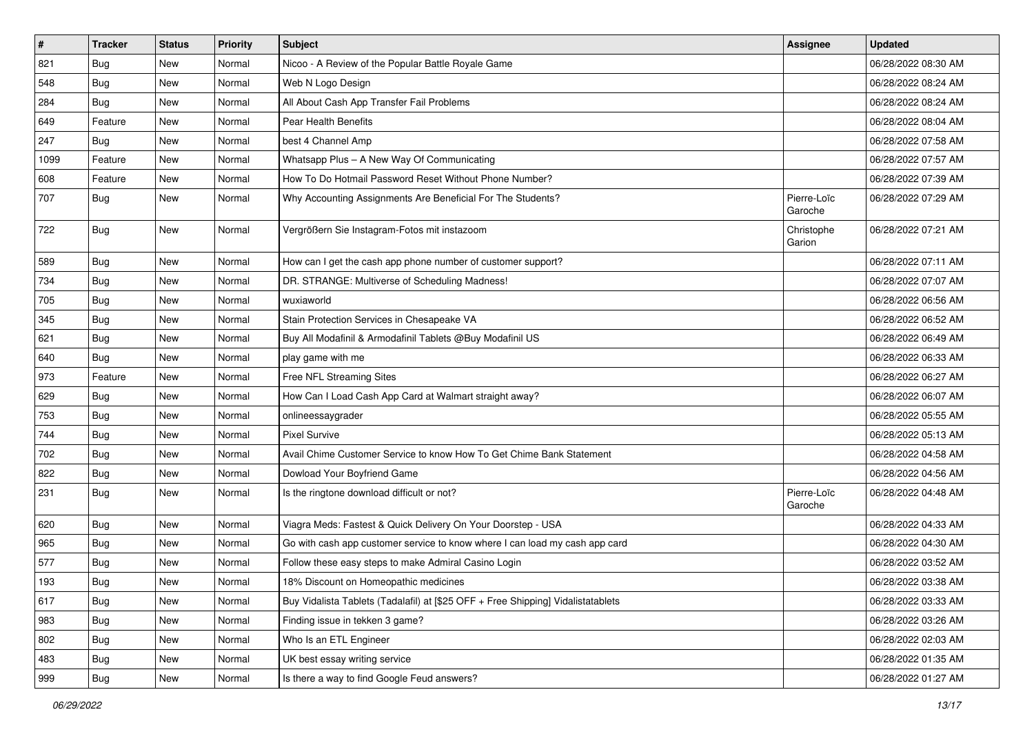| #    | <b>Tracker</b> | <b>Status</b> | <b>Priority</b> | <b>Subject</b>                                                                   | <b>Assignee</b>        | <b>Updated</b>      |
|------|----------------|---------------|-----------------|----------------------------------------------------------------------------------|------------------------|---------------------|
| 821  | <b>Bug</b>     | New           | Normal          | Nicoo - A Review of the Popular Battle Royale Game                               |                        | 06/28/2022 08:30 AM |
| 548  | Bug            | New           | Normal          | Web N Logo Design                                                                |                        | 06/28/2022 08:24 AM |
| 284  | <b>Bug</b>     | New           | Normal          | All About Cash App Transfer Fail Problems                                        |                        | 06/28/2022 08:24 AM |
| 649  | Feature        | New           | Normal          | Pear Health Benefits                                                             |                        | 06/28/2022 08:04 AM |
| 247  | Bug            | New           | Normal          | best 4 Channel Amp                                                               |                        | 06/28/2022 07:58 AM |
| 1099 | Feature        | New           | Normal          | Whatsapp Plus - A New Way Of Communicating                                       |                        | 06/28/2022 07:57 AM |
| 608  | Feature        | New           | Normal          | How To Do Hotmail Password Reset Without Phone Number?                           |                        | 06/28/2022 07:39 AM |
| 707  | Bug            | New           | Normal          | Why Accounting Assignments Are Beneficial For The Students?                      | Pierre-Loïc<br>Garoche | 06/28/2022 07:29 AM |
| 722  | <b>Bug</b>     | New           | Normal          | Vergrößern Sie Instagram-Fotos mit instazoom                                     | Christophe<br>Garion   | 06/28/2022 07:21 AM |
| 589  | Bug            | New           | Normal          | How can I get the cash app phone number of customer support?                     |                        | 06/28/2022 07:11 AM |
| 734  | Bug            | New           | Normal          | DR. STRANGE: Multiverse of Scheduling Madness!                                   |                        | 06/28/2022 07:07 AM |
| 705  | <b>Bug</b>     | New           | Normal          | wuxiaworld                                                                       |                        | 06/28/2022 06:56 AM |
| 345  | <b>Bug</b>     | New           | Normal          | Stain Protection Services in Chesapeake VA                                       |                        | 06/28/2022 06:52 AM |
| 621  | Bug            | New           | Normal          | Buy All Modafinil & Armodafinil Tablets @Buy Modafinil US                        |                        | 06/28/2022 06:49 AM |
| 640  | Bug            | New           | Normal          | play game with me                                                                |                        | 06/28/2022 06:33 AM |
| 973  | Feature        | New           | Normal          | Free NFL Streaming Sites                                                         |                        | 06/28/2022 06:27 AM |
| 629  | <b>Bug</b>     | New           | Normal          | How Can I Load Cash App Card at Walmart straight away?                           |                        | 06/28/2022 06:07 AM |
| 753  | <b>Bug</b>     | New           | Normal          | onlineessaygrader                                                                |                        | 06/28/2022 05:55 AM |
| 744  | <b>Bug</b>     | New           | Normal          | <b>Pixel Survive</b>                                                             |                        | 06/28/2022 05:13 AM |
| 702  | Bug            | New           | Normal          | Avail Chime Customer Service to know How To Get Chime Bank Statement             |                        | 06/28/2022 04:58 AM |
| 822  | <b>Bug</b>     | New           | Normal          | Dowload Your Boyfriend Game                                                      |                        | 06/28/2022 04:56 AM |
| 231  | Bug            | New           | Normal          | Is the ringtone download difficult or not?                                       | Pierre-Loïc<br>Garoche | 06/28/2022 04:48 AM |
| 620  | <b>Bug</b>     | New           | Normal          | Viagra Meds: Fastest & Quick Delivery On Your Doorstep - USA                     |                        | 06/28/2022 04:33 AM |
| 965  | <b>Bug</b>     | New           | Normal          | Go with cash app customer service to know where I can load my cash app card      |                        | 06/28/2022 04:30 AM |
| 577  | Bug            | New           | Normal          | Follow these easy steps to make Admiral Casino Login                             |                        | 06/28/2022 03:52 AM |
| 193  | <b>Bug</b>     | New           | Normal          | 18% Discount on Homeopathic medicines                                            |                        | 06/28/2022 03:38 AM |
| 617  | <b>Bug</b>     | New           | Normal          | Buy Vidalista Tablets (Tadalafil) at [\$25 OFF + Free Shipping] Vidalistatablets |                        | 06/28/2022 03:33 AM |
| 983  | <b>Bug</b>     | New           | Normal          | Finding issue in tekken 3 game?                                                  |                        | 06/28/2022 03:26 AM |
| 802  | <b>Bug</b>     | New           | Normal          | Who Is an ETL Engineer                                                           |                        | 06/28/2022 02:03 AM |
| 483  | Bug            | New           | Normal          | UK best essay writing service                                                    |                        | 06/28/2022 01:35 AM |
| 999  | <b>Bug</b>     | New           | Normal          | Is there a way to find Google Feud answers?                                      |                        | 06/28/2022 01:27 AM |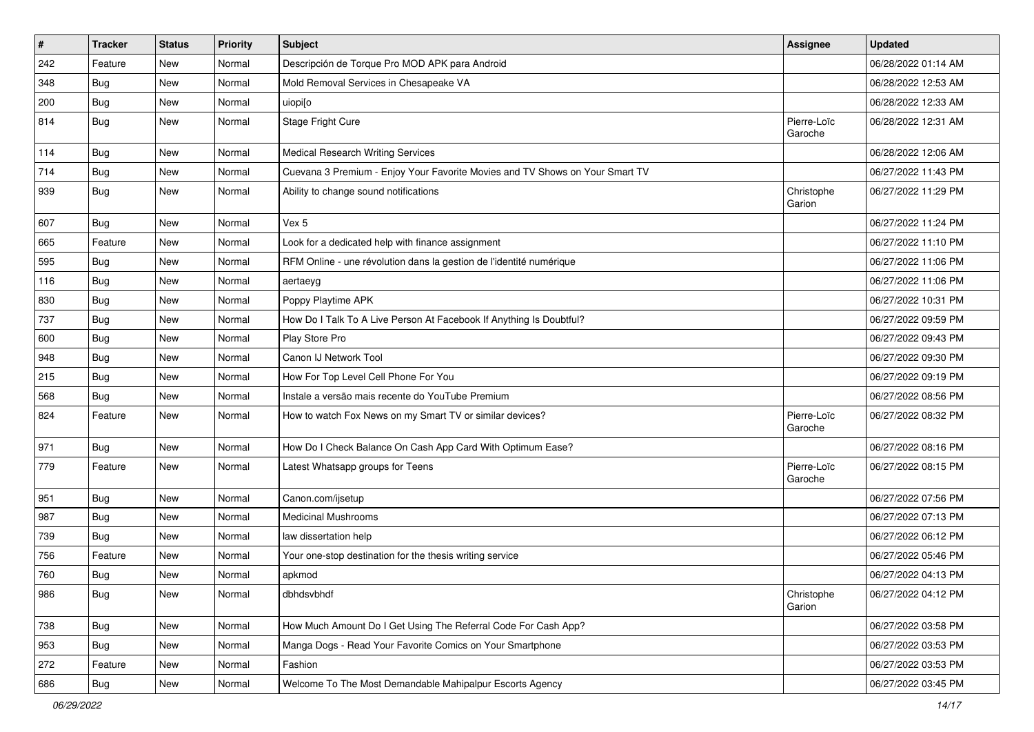| $\vert$ # | <b>Tracker</b> | <b>Status</b> | <b>Priority</b> | Subject                                                                      | <b>Assignee</b>        | <b>Updated</b>      |
|-----------|----------------|---------------|-----------------|------------------------------------------------------------------------------|------------------------|---------------------|
| 242       | Feature        | New           | Normal          | Descripción de Torque Pro MOD APK para Android                               |                        | 06/28/2022 01:14 AM |
| 348       | Bug            | New           | Normal          | Mold Removal Services in Chesapeake VA                                       |                        | 06/28/2022 12:53 AM |
| 200       | Bug            | New           | Normal          | uiopi[o                                                                      |                        | 06/28/2022 12:33 AM |
| 814       | <b>Bug</b>     | New           | Normal          | Stage Fright Cure                                                            | Pierre-Loïc<br>Garoche | 06/28/2022 12:31 AM |
| 114       | Bug            | New           | Normal          | <b>Medical Research Writing Services</b>                                     |                        | 06/28/2022 12:06 AM |
| 714       | <b>Bug</b>     | New           | Normal          | Cuevana 3 Premium - Enjoy Your Favorite Movies and TV Shows on Your Smart TV |                        | 06/27/2022 11:43 PM |
| 939       | Bug            | New           | Normal          | Ability to change sound notifications                                        | Christophe<br>Garion   | 06/27/2022 11:29 PM |
| 607       | Bug            | New           | Normal          | Vex 5                                                                        |                        | 06/27/2022 11:24 PM |
| 665       | Feature        | New           | Normal          | Look for a dedicated help with finance assignment                            |                        | 06/27/2022 11:10 PM |
| 595       | <b>Bug</b>     | New           | Normal          | RFM Online - une révolution dans la gestion de l'identité numérique          |                        | 06/27/2022 11:06 PM |
| 116       | Bug            | New           | Normal          | aertaeyg                                                                     |                        | 06/27/2022 11:06 PM |
| 830       | <b>Bug</b>     | New           | Normal          | Poppy Playtime APK                                                           |                        | 06/27/2022 10:31 PM |
| 737       | <b>Bug</b>     | New           | Normal          | How Do I Talk To A Live Person At Facebook If Anything Is Doubtful?          |                        | 06/27/2022 09:59 PM |
| 600       | Bug            | New           | Normal          | Play Store Pro                                                               |                        | 06/27/2022 09:43 PM |
| 948       | <b>Bug</b>     | New           | Normal          | Canon IJ Network Tool                                                        |                        | 06/27/2022 09:30 PM |
| 215       | Bug            | New           | Normal          | How For Top Level Cell Phone For You                                         |                        | 06/27/2022 09:19 PM |
| 568       | Bug            | New           | Normal          | Instale a versão mais recente do YouTube Premium                             |                        | 06/27/2022 08:56 PM |
| 824       | Feature        | New           | Normal          | How to watch Fox News on my Smart TV or similar devices?                     | Pierre-Loïc<br>Garoche | 06/27/2022 08:32 PM |
| 971       | <b>Bug</b>     | New           | Normal          | How Do I Check Balance On Cash App Card With Optimum Ease?                   |                        | 06/27/2022 08:16 PM |
| 779       | Feature        | New           | Normal          | Latest Whatsapp groups for Teens                                             | Pierre-Loïc<br>Garoche | 06/27/2022 08:15 PM |
| 951       | Bug            | New           | Normal          | Canon.com/ijsetup                                                            |                        | 06/27/2022 07:56 PM |
| 987       | Bug            | New           | Normal          | <b>Medicinal Mushrooms</b>                                                   |                        | 06/27/2022 07:13 PM |
| 739       | <b>Bug</b>     | New           | Normal          | law dissertation help                                                        |                        | 06/27/2022 06:12 PM |
| 756       | Feature        | New           | Normal          | Your one-stop destination for the thesis writing service                     |                        | 06/27/2022 05:46 PM |
| 760       | <b>Bug</b>     | New           | Normal          | apkmod                                                                       |                        | 06/27/2022 04:13 PM |
| 986       | Bug            | New           | Normal          | dbhdsvbhdf                                                                   | Christophe<br>Garion   | 06/27/2022 04:12 PM |
| 738       | <b>Bug</b>     | New           | Normal          | How Much Amount Do I Get Using The Referral Code For Cash App?               |                        | 06/27/2022 03:58 PM |
| 953       | <b>Bug</b>     | New           | Normal          | Manga Dogs - Read Your Favorite Comics on Your Smartphone                    |                        | 06/27/2022 03:53 PM |
| 272       | Feature        | New           | Normal          | Fashion                                                                      |                        | 06/27/2022 03:53 PM |
| 686       | <b>Bug</b>     | New           | Normal          | Welcome To The Most Demandable Mahipalpur Escorts Agency                     |                        | 06/27/2022 03:45 PM |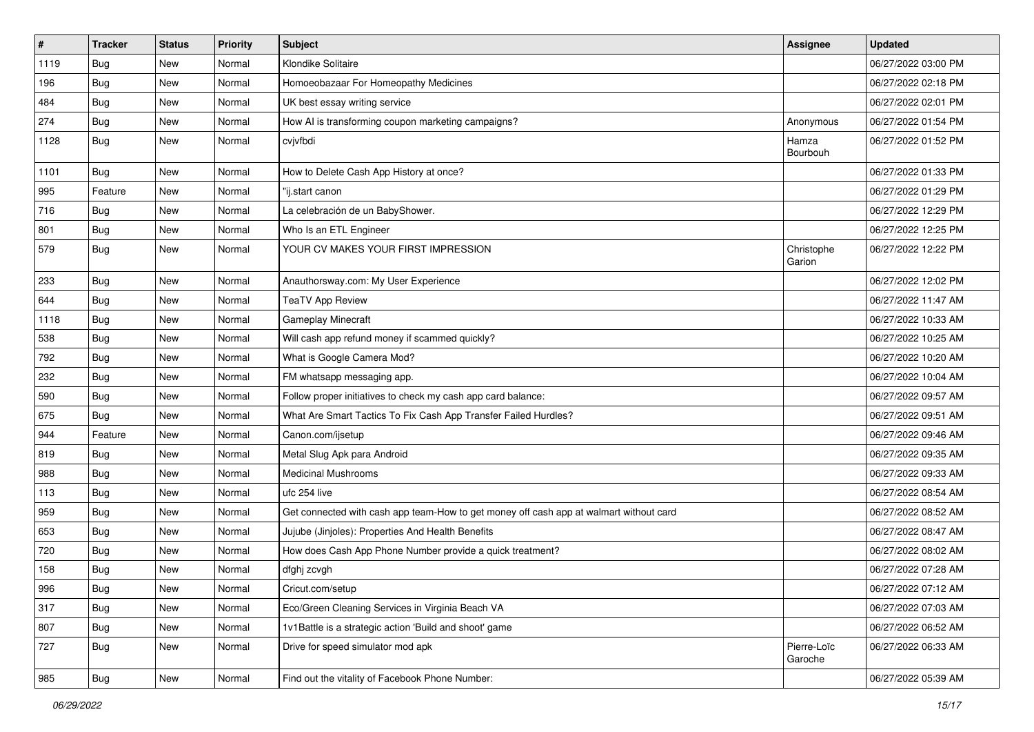| $\sharp$ | <b>Tracker</b> | <b>Status</b> | Priority | Subject                                                                                | <b>Assignee</b>        | <b>Updated</b>      |
|----------|----------------|---------------|----------|----------------------------------------------------------------------------------------|------------------------|---------------------|
| 1119     | <b>Bug</b>     | New           | Normal   | Klondike Solitaire                                                                     |                        | 06/27/2022 03:00 PM |
| 196      | Bug            | <b>New</b>    | Normal   | Homoeobazaar For Homeopathy Medicines                                                  |                        | 06/27/2022 02:18 PM |
| 484      | <b>Bug</b>     | New           | Normal   | UK best essay writing service                                                          |                        | 06/27/2022 02:01 PM |
| 274      | Bug            | New           | Normal   | How AI is transforming coupon marketing campaigns?                                     | Anonymous              | 06/27/2022 01:54 PM |
| 1128     | <b>Bug</b>     | New           | Normal   | cvjvfbdi                                                                               | Hamza<br>Bourbouh      | 06/27/2022 01:52 PM |
| 1101     | <b>Bug</b>     | <b>New</b>    | Normal   | How to Delete Cash App History at once?                                                |                        | 06/27/2022 01:33 PM |
| 995      | Feature        | New           | Normal   | "ij.start canon                                                                        |                        | 06/27/2022 01:29 PM |
| 716      | Bug            | New           | Normal   | La celebración de un BabyShower.                                                       |                        | 06/27/2022 12:29 PM |
| 801      | <b>Bug</b>     | New           | Normal   | Who Is an ETL Engineer                                                                 |                        | 06/27/2022 12:25 PM |
| 579      | Bug            | New           | Normal   | YOUR CV MAKES YOUR FIRST IMPRESSION                                                    | Christophe<br>Garion   | 06/27/2022 12:22 PM |
| 233      | Bug            | New           | Normal   | Anauthorsway.com: My User Experience                                                   |                        | 06/27/2022 12:02 PM |
| 644      | <b>Bug</b>     | New           | Normal   | <b>TeaTV App Review</b>                                                                |                        | 06/27/2022 11:47 AM |
| 1118     | Bug            | <b>New</b>    | Normal   | Gameplay Minecraft                                                                     |                        | 06/27/2022 10:33 AM |
| 538      | <b>Bug</b>     | New           | Normal   | Will cash app refund money if scammed quickly?                                         |                        | 06/27/2022 10:25 AM |
| 792      | Bug            | New           | Normal   | What is Google Camera Mod?                                                             |                        | 06/27/2022 10:20 AM |
| 232      | Bug            | New           | Normal   | FM whatsapp messaging app.                                                             |                        | 06/27/2022 10:04 AM |
| 590      | <b>Bug</b>     | New           | Normal   | Follow proper initiatives to check my cash app card balance:                           |                        | 06/27/2022 09:57 AM |
| 675      | <b>Bug</b>     | New           | Normal   | What Are Smart Tactics To Fix Cash App Transfer Failed Hurdles?                        |                        | 06/27/2022 09:51 AM |
| 944      | Feature        | New           | Normal   | Canon.com/ijsetup                                                                      |                        | 06/27/2022 09:46 AM |
| 819      | <b>Bug</b>     | New           | Normal   | Metal Slug Apk para Android                                                            |                        | 06/27/2022 09:35 AM |
| 988      | <b>Bug</b>     | New           | Normal   | <b>Medicinal Mushrooms</b>                                                             |                        | 06/27/2022 09:33 AM |
| 113      | <b>Bug</b>     | New           | Normal   | ufc 254 live                                                                           |                        | 06/27/2022 08:54 AM |
| 959      | <b>Bug</b>     | New           | Normal   | Get connected with cash app team-How to get money off cash app at walmart without card |                        | 06/27/2022 08:52 AM |
| 653      | Bug            | New           | Normal   | Jujube (Jinjoles): Properties And Health Benefits                                      |                        | 06/27/2022 08:47 AM |
| 720      | <b>Bug</b>     | New           | Normal   | How does Cash App Phone Number provide a quick treatment?                              |                        | 06/27/2022 08:02 AM |
| 158      | <b>Bug</b>     | New           | Normal   | dfghj zcvgh                                                                            |                        | 06/27/2022 07:28 AM |
| 996      | Bug            | New           | Normal   | Cricut.com/setup                                                                       |                        | 06/27/2022 07:12 AM |
| 317      | <b>Bug</b>     | New           | Normal   | Eco/Green Cleaning Services in Virginia Beach VA                                       |                        | 06/27/2022 07:03 AM |
| 807      | <b>Bug</b>     | New           | Normal   | 1v1Battle is a strategic action 'Build and shoot' game                                 |                        | 06/27/2022 06:52 AM |
| 727      | <b>Bug</b>     | New           | Normal   | Drive for speed simulator mod apk                                                      | Pierre-Loïc<br>Garoche | 06/27/2022 06:33 AM |
| 985      | <b>Bug</b>     | New           | Normal   | Find out the vitality of Facebook Phone Number:                                        |                        | 06/27/2022 05:39 AM |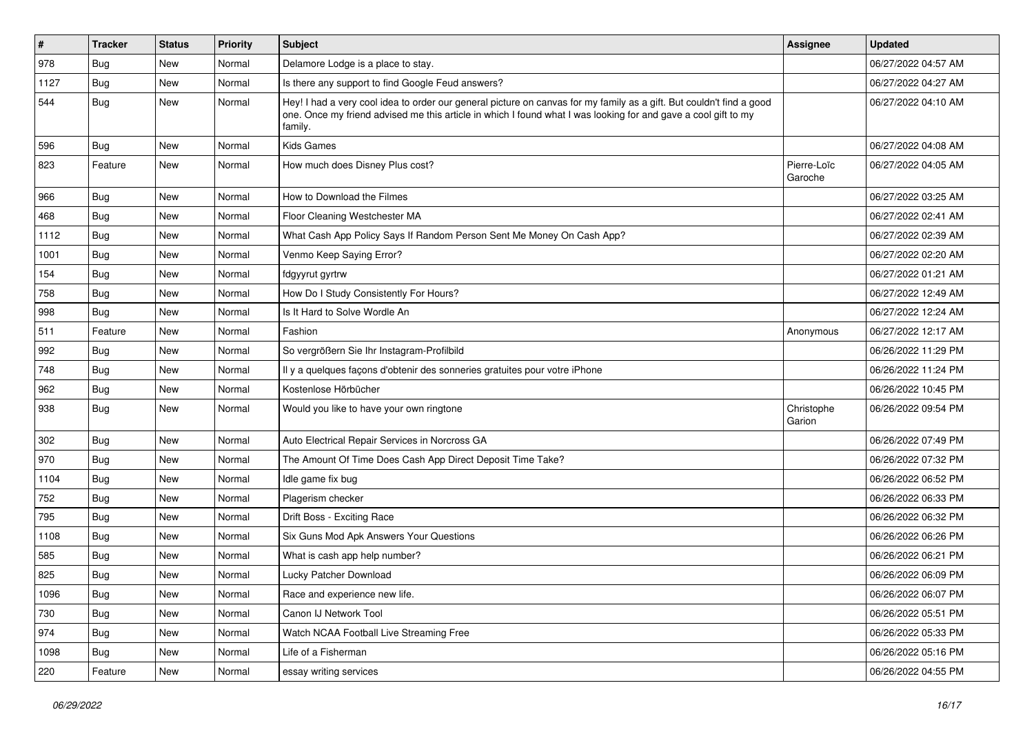| $\pmb{\#}$ | <b>Tracker</b> | <b>Status</b> | <b>Priority</b> | Subject                                                                                                                                                                                                                                           | <b>Assignee</b>        | <b>Updated</b>      |
|------------|----------------|---------------|-----------------|---------------------------------------------------------------------------------------------------------------------------------------------------------------------------------------------------------------------------------------------------|------------------------|---------------------|
| 978        | <b>Bug</b>     | New           | Normal          | Delamore Lodge is a place to stay.                                                                                                                                                                                                                |                        | 06/27/2022 04:57 AM |
| 1127       | <b>Bug</b>     | New           | Normal          | Is there any support to find Google Feud answers?                                                                                                                                                                                                 |                        | 06/27/2022 04:27 AM |
| 544        | Bug            | New           | Normal          | Hey! I had a very cool idea to order our general picture on canvas for my family as a gift. But couldn't find a good<br>one. Once my friend advised me this article in which I found what I was looking for and gave a cool gift to my<br>family. |                        | 06/27/2022 04:10 AM |
| 596        | Bug            | New           | Normal          | <b>Kids Games</b>                                                                                                                                                                                                                                 |                        | 06/27/2022 04:08 AM |
| 823        | Feature        | New           | Normal          | How much does Disney Plus cost?                                                                                                                                                                                                                   | Pierre-Loïc<br>Garoche | 06/27/2022 04:05 AM |
| 966        | Bug            | <b>New</b>    | Normal          | How to Download the Filmes                                                                                                                                                                                                                        |                        | 06/27/2022 03:25 AM |
| 468        | Bug            | New           | Normal          | Floor Cleaning Westchester MA                                                                                                                                                                                                                     |                        | 06/27/2022 02:41 AM |
| 1112       | Bug            | New           | Normal          | What Cash App Policy Says If Random Person Sent Me Money On Cash App?                                                                                                                                                                             |                        | 06/27/2022 02:39 AM |
| 1001       | Bug            | New           | Normal          | Venmo Keep Saying Error?                                                                                                                                                                                                                          |                        | 06/27/2022 02:20 AM |
| 154        | Bug            | New           | Normal          | fdgyyrut gyrtrw                                                                                                                                                                                                                                   |                        | 06/27/2022 01:21 AM |
| 758        | <b>Bug</b>     | New           | Normal          | How Do I Study Consistently For Hours?                                                                                                                                                                                                            |                        | 06/27/2022 12:49 AM |
| 998        | <b>Bug</b>     | New           | Normal          | Is It Hard to Solve Wordle An                                                                                                                                                                                                                     |                        | 06/27/2022 12:24 AM |
| 511        | Feature        | New           | Normal          | Fashion                                                                                                                                                                                                                                           | Anonymous              | 06/27/2022 12:17 AM |
| 992        | Bug            | New           | Normal          | So vergrößern Sie Ihr Instagram-Profilbild                                                                                                                                                                                                        |                        | 06/26/2022 11:29 PM |
| 748        | Bug            | <b>New</b>    | Normal          | Il y a quelques façons d'obtenir des sonneries gratuites pour votre iPhone                                                                                                                                                                        |                        | 06/26/2022 11:24 PM |
| 962        | <b>Bug</b>     | New           | Normal          | Kostenlose Hörbücher                                                                                                                                                                                                                              |                        | 06/26/2022 10:45 PM |
| 938        | <b>Bug</b>     | New           | Normal          | Would you like to have your own ringtone                                                                                                                                                                                                          | Christophe<br>Garion   | 06/26/2022 09:54 PM |
| 302        | Bug            | New           | Normal          | Auto Electrical Repair Services in Norcross GA                                                                                                                                                                                                    |                        | 06/26/2022 07:49 PM |
| 970        | Bug            | New           | Normal          | The Amount Of Time Does Cash App Direct Deposit Time Take?                                                                                                                                                                                        |                        | 06/26/2022 07:32 PM |
| 1104       | Bug            | New           | Normal          | Idle game fix bug                                                                                                                                                                                                                                 |                        | 06/26/2022 06:52 PM |
| 752        | Bug            | New           | Normal          | Plagerism checker                                                                                                                                                                                                                                 |                        | 06/26/2022 06:33 PM |
| 795        | Bug            | New           | Normal          | Drift Boss - Exciting Race                                                                                                                                                                                                                        |                        | 06/26/2022 06:32 PM |
| 1108       | <b>Bug</b>     | New           | Normal          | Six Guns Mod Apk Answers Your Questions                                                                                                                                                                                                           |                        | 06/26/2022 06:26 PM |
| 585        | Bug            | New           | Normal          | What is cash app help number?                                                                                                                                                                                                                     |                        | 06/26/2022 06:21 PM |
| 825        | <b>Bug</b>     | New           | Normal          | Lucky Patcher Download                                                                                                                                                                                                                            |                        | 06/26/2022 06:09 PM |
| 1096       | <b>Bug</b>     | New           | Normal          | Race and experience new life.                                                                                                                                                                                                                     |                        | 06/26/2022 06:07 PM |
| 730        | Bug            | New           | Normal          | Canon IJ Network Tool                                                                                                                                                                                                                             |                        | 06/26/2022 05:51 PM |
| 974        | Bug            | New           | Normal          | Watch NCAA Football Live Streaming Free                                                                                                                                                                                                           |                        | 06/26/2022 05:33 PM |
| 1098       | Bug            | New           | Normal          | Life of a Fisherman                                                                                                                                                                                                                               |                        | 06/26/2022 05:16 PM |
| 220        | Feature        | New           | Normal          | essay writing services                                                                                                                                                                                                                            |                        | 06/26/2022 04:55 PM |